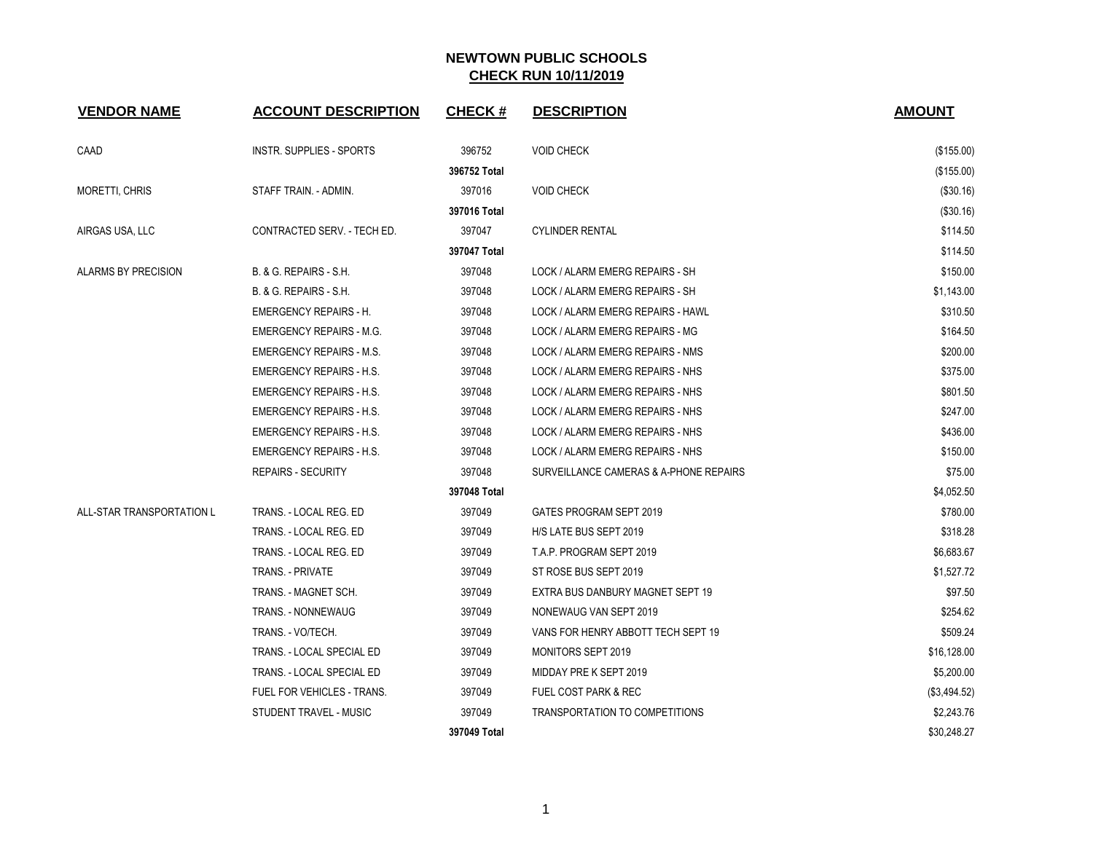| <b>VENDOR NAME</b>         | <b>ACCOUNT DESCRIPTION</b>      | <b>CHECK#</b> | <b>DESCRIPTION</b>                     | <b>AMOUNT</b> |
|----------------------------|---------------------------------|---------------|----------------------------------------|---------------|
| CAAD                       | <b>INSTR. SUPPLIES - SPORTS</b> | 396752        | <b>VOID CHECK</b>                      | (\$155.00)    |
|                            |                                 | 396752 Total  |                                        | (\$155.00)    |
| <b>MORETTI, CHRIS</b>      | STAFF TRAIN. - ADMIN.           | 397016        | <b>VOID CHECK</b>                      | (\$30.16)     |
|                            |                                 | 397016 Total  |                                        | (\$30.16)     |
| AIRGAS USA, LLC            | CONTRACTED SERV. - TECH ED.     | 397047        | <b>CYLINDER RENTAL</b>                 | \$114.50      |
|                            |                                 | 397047 Total  |                                        | \$114.50      |
| <b>ALARMS BY PRECISION</b> | B. & G. REPAIRS - S.H.          | 397048        | LOCK / ALARM EMERG REPAIRS - SH        | \$150.00      |
|                            | B. & G. REPAIRS - S.H.          | 397048        | LOCK / ALARM EMERG REPAIRS - SH        | \$1,143.00    |
|                            | <b>EMERGENCY REPAIRS - H.</b>   | 397048        | LOCK / ALARM EMERG REPAIRS - HAWL      | \$310.50      |
|                            | <b>EMERGENCY REPAIRS - M.G.</b> | 397048        | LOCK / ALARM EMERG REPAIRS - MG        | \$164.50      |
|                            | <b>EMERGENCY REPAIRS - M.S.</b> | 397048        | LOCK / ALARM EMERG REPAIRS - NMS       | \$200.00      |
|                            | <b>EMERGENCY REPAIRS - H.S.</b> | 397048        | LOCK / ALARM EMERG REPAIRS - NHS       | \$375.00      |
|                            | <b>EMERGENCY REPAIRS - H.S.</b> | 397048        | LOCK / ALARM EMERG REPAIRS - NHS       | \$801.50      |
|                            | <b>EMERGENCY REPAIRS - H.S.</b> | 397048        | LOCK / ALARM EMERG REPAIRS - NHS       | \$247.00      |
|                            | <b>EMERGENCY REPAIRS - H.S.</b> | 397048        | LOCK / ALARM EMERG REPAIRS - NHS       | \$436.00      |
|                            | <b>EMERGENCY REPAIRS - H.S.</b> | 397048        | LOCK / ALARM EMERG REPAIRS - NHS       | \$150.00      |
|                            | <b>REPAIRS - SECURITY</b>       | 397048        | SURVEILLANCE CAMERAS & A-PHONE REPAIRS | \$75.00       |
|                            |                                 | 397048 Total  |                                        | \$4,052.50    |
| ALL-STAR TRANSPORTATION L  | TRANS. - LOCAL REG. ED          | 397049        | GATES PROGRAM SEPT 2019                | \$780.00      |
|                            | TRANS. - LOCAL REG. ED          | 397049        | H/S LATE BUS SEPT 2019                 | \$318.28      |
|                            | TRANS. - LOCAL REG. ED          | 397049        | T.A.P. PROGRAM SEPT 2019               | \$6,683.67    |
|                            | TRANS. - PRIVATE                | 397049        | ST ROSE BUS SEPT 2019                  | \$1,527.72    |
|                            | TRANS. - MAGNET SCH.            | 397049        | EXTRA BUS DANBURY MAGNET SEPT 19       | \$97.50       |
|                            | <b>TRANS. - NONNEWAUG</b>       | 397049        | NONEWAUG VAN SEPT 2019                 | \$254.62      |
|                            | TRANS. - VO/TECH.               | 397049        | VANS FOR HENRY ABBOTT TECH SEPT 19     | \$509.24      |
|                            | TRANS. - LOCAL SPECIAL ED       | 397049        | MONITORS SEPT 2019                     | \$16,128.00   |
|                            | TRANS. - LOCAL SPECIAL ED       | 397049        | MIDDAY PRE K SEPT 2019                 | \$5,200.00    |
|                            | FUEL FOR VEHICLES - TRANS.      | 397049        | <b>FUEL COST PARK &amp; REC</b>        | (\$3,494.52)  |
|                            | STUDENT TRAVEL - MUSIC          | 397049        | TRANSPORTATION TO COMPETITIONS         | \$2,243.76    |
|                            |                                 | 397049 Total  |                                        | \$30.248.27   |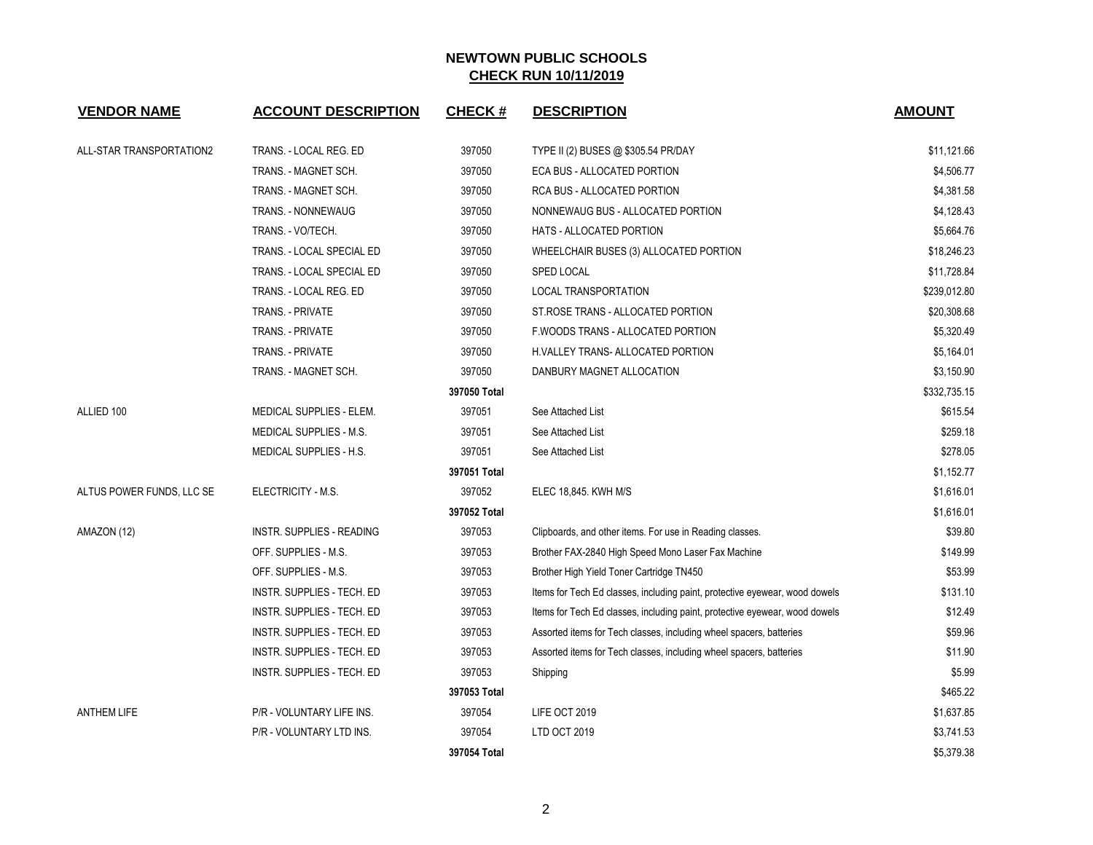| <b>VENDOR NAME</b>        | <b>ACCOUNT DESCRIPTION</b>       | <b>CHECK#</b> | <b>DESCRIPTION</b>                                                          | <b>AMOUNT</b> |
|---------------------------|----------------------------------|---------------|-----------------------------------------------------------------------------|---------------|
| ALL-STAR TRANSPORTATION2  | TRANS. - LOCAL REG. ED           | 397050        | TYPE II (2) BUSES @ \$305.54 PR/DAY                                         | \$11,121.66   |
|                           | TRANS. - MAGNET SCH.             | 397050        | ECA BUS - ALLOCATED PORTION                                                 | \$4,506.77    |
|                           | TRANS. - MAGNET SCH.             | 397050        | RCA BUS - ALLOCATED PORTION                                                 | \$4,381.58    |
|                           | TRANS. - NONNEWAUG               | 397050        | NONNEWAUG BUS - ALLOCATED PORTION                                           | \$4,128.43    |
|                           | TRANS. - VO/TECH.                | 397050        | HATS - ALLOCATED PORTION                                                    | \$5,664.76    |
|                           | TRANS. - LOCAL SPECIAL ED        | 397050        | WHEELCHAIR BUSES (3) ALLOCATED PORTION                                      | \$18,246.23   |
|                           | TRANS. - LOCAL SPECIAL ED        | 397050        | SPED LOCAL                                                                  | \$11,728.84   |
|                           | TRANS. - LOCAL REG. ED           | 397050        | LOCAL TRANSPORTATION                                                        | \$239,012.80  |
|                           | TRANS. - PRIVATE                 | 397050        | ST.ROSE TRANS - ALLOCATED PORTION                                           | \$20,308.68   |
|                           | TRANS. - PRIVATE                 | 397050        | F.WOODS TRANS - ALLOCATED PORTION                                           | \$5,320.49    |
|                           | TRANS. - PRIVATE                 | 397050        | H.VALLEY TRANS- ALLOCATED PORTION                                           | \$5,164.01    |
|                           | TRANS. - MAGNET SCH.             | 397050        | DANBURY MAGNET ALLOCATION                                                   | \$3,150.90    |
|                           |                                  | 397050 Total  |                                                                             | \$332,735.15  |
| ALLIED 100                | MEDICAL SUPPLIES - ELEM.         | 397051        | See Attached List                                                           | \$615.54      |
|                           | MEDICAL SUPPLIES - M.S.          | 397051        | See Attached List                                                           | \$259.18      |
|                           | MEDICAL SUPPLIES - H.S.          | 397051        | See Attached List                                                           | \$278.05      |
|                           |                                  | 397051 Total  |                                                                             | \$1,152.77    |
| ALTUS POWER FUNDS, LLC SE | ELECTRICITY - M.S.               | 397052        | ELEC 18,845. KWH M/S                                                        | \$1,616.01    |
|                           |                                  | 397052 Total  |                                                                             | \$1,616.01    |
| AMAZON (12)               | <b>INSTR. SUPPLIES - READING</b> | 397053        | Clipboards, and other items. For use in Reading classes.                    | \$39.80       |
|                           | OFF. SUPPLIES - M.S.             | 397053        | Brother FAX-2840 High Speed Mono Laser Fax Machine                          | \$149.99      |
|                           | OFF. SUPPLIES - M.S.             | 397053        | Brother High Yield Toner Cartridge TN450                                    | \$53.99       |
|                           | INSTR. SUPPLIES - TECH. ED       | 397053        | Items for Tech Ed classes, including paint, protective eyewear, wood dowels | \$131.10      |
|                           | INSTR. SUPPLIES - TECH. ED       | 397053        | Items for Tech Ed classes, including paint, protective eyewear, wood dowels | \$12.49       |
|                           | INSTR. SUPPLIES - TECH. ED       | 397053        | Assorted items for Tech classes, including wheel spacers, batteries         | \$59.96       |
|                           | INSTR. SUPPLIES - TECH. ED       | 397053        | Assorted items for Tech classes, including wheel spacers, batteries         | \$11.90       |
|                           | INSTR. SUPPLIES - TECH. ED       | 397053        | Shipping                                                                    | \$5.99        |
|                           |                                  | 397053 Total  |                                                                             | \$465.22      |
| <b>ANTHEM LIFE</b>        | P/R - VOLUNTARY LIFE INS.        | 397054        | LIFE OCT 2019                                                               | \$1,637.85    |
|                           | P/R - VOLUNTARY LTD INS.         | 397054        | LTD OCT 2019                                                                | \$3,741.53    |
|                           |                                  | 397054 Total  |                                                                             | \$5,379.38    |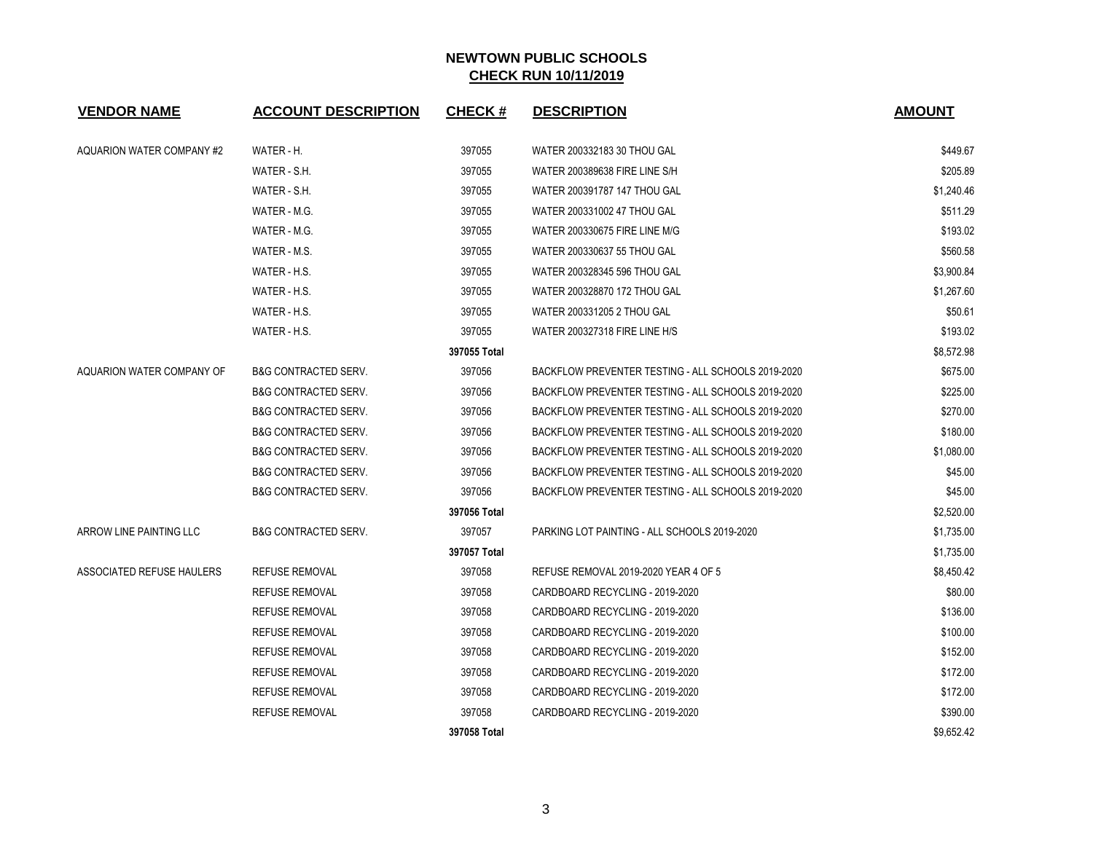| <b>VENDOR NAME</b>               | <b>ACCOUNT DESCRIPTION</b>      | <b>CHECK#</b> | <b>DESCRIPTION</b>                                 | <b>AMOUNT</b> |
|----------------------------------|---------------------------------|---------------|----------------------------------------------------|---------------|
| <b>AQUARION WATER COMPANY #2</b> | WATER - H.                      | 397055        | WATER 200332183 30 THOU GAL                        | \$449.67      |
|                                  | WATER - S.H.                    | 397055        | WATER 200389638 FIRE LINE S/H                      | \$205.89      |
|                                  | WATER - S.H.                    | 397055        | WATER 200391787 147 THOU GAL                       | \$1,240.46    |
|                                  | WATER - M.G.                    | 397055        | WATER 200331002 47 THOU GAL                        | \$511.29      |
|                                  | WATER - M.G.                    | 397055        | WATER 200330675 FIRE LINE M/G                      | \$193.02      |
|                                  | WATER - M.S.                    | 397055        | WATER 200330637 55 THOU GAL                        | \$560.58      |
|                                  | WATER - H.S.                    | 397055        | WATER 200328345 596 THOU GAL                       | \$3,900.84    |
|                                  | WATER - H.S.                    | 397055        | WATER 200328870 172 THOU GAL                       | \$1,267.60    |
|                                  | WATER - H.S.                    | 397055        | WATER 200331205 2 THOU GAL                         | \$50.61       |
|                                  | WATER - H.S.                    | 397055        | WATER 200327318 FIRE LINE H/S                      | \$193.02      |
|                                  |                                 | 397055 Total  |                                                    | \$8,572.98    |
| AQUARION WATER COMPANY OF        | <b>B&amp;G CONTRACTED SERV.</b> | 397056        | BACKFLOW PREVENTER TESTING - ALL SCHOOLS 2019-2020 | \$675.00      |
|                                  | <b>B&amp;G CONTRACTED SERV.</b> | 397056        | BACKFLOW PREVENTER TESTING - ALL SCHOOLS 2019-2020 | \$225.00      |
|                                  | <b>B&amp;G CONTRACTED SERV.</b> | 397056        | BACKFLOW PREVENTER TESTING - ALL SCHOOLS 2019-2020 | \$270.00      |
|                                  | <b>B&amp;G CONTRACTED SERV.</b> | 397056        | BACKFLOW PREVENTER TESTING - ALL SCHOOLS 2019-2020 | \$180.00      |
|                                  | <b>B&amp;G CONTRACTED SERV.</b> | 397056        | BACKFLOW PREVENTER TESTING - ALL SCHOOLS 2019-2020 | \$1,080.00    |
|                                  | <b>B&amp;G CONTRACTED SERV.</b> | 397056        | BACKFLOW PREVENTER TESTING - ALL SCHOOLS 2019-2020 | \$45.00       |
|                                  | <b>B&amp;G CONTRACTED SERV.</b> | 397056        | BACKFLOW PREVENTER TESTING - ALL SCHOOLS 2019-2020 | \$45.00       |
|                                  |                                 | 397056 Total  |                                                    | \$2,520.00    |
| ARROW LINE PAINTING LLC          | <b>B&amp;G CONTRACTED SERV.</b> | 397057        | PARKING LOT PAINTING - ALL SCHOOLS 2019-2020       | \$1,735.00    |
|                                  |                                 | 397057 Total  |                                                    | \$1,735.00    |
| ASSOCIATED REFUSE HAULERS        | <b>REFUSE REMOVAL</b>           | 397058        | REFUSE REMOVAL 2019-2020 YEAR 4 OF 5               | \$8,450.42    |
|                                  | <b>REFUSE REMOVAL</b>           | 397058        | CARDBOARD RECYCLING - 2019-2020                    | \$80.00       |
|                                  | <b>REFUSE REMOVAL</b>           | 397058        | CARDBOARD RECYCLING - 2019-2020                    | \$136.00      |
|                                  | <b>REFUSE REMOVAL</b>           | 397058        | CARDBOARD RECYCLING - 2019-2020                    | \$100.00      |
|                                  | <b>REFUSE REMOVAL</b>           | 397058        | CARDBOARD RECYCLING - 2019-2020                    | \$152.00      |
|                                  | REFUSE REMOVAL                  | 397058        | CARDBOARD RECYCLING - 2019-2020                    | \$172.00      |
|                                  | <b>REFUSE REMOVAL</b>           | 397058        | CARDBOARD RECYCLING - 2019-2020                    | \$172.00      |
|                                  | <b>REFUSE REMOVAL</b>           | 397058        | CARDBOARD RECYCLING - 2019-2020                    | \$390.00      |
|                                  |                                 | 397058 Total  |                                                    | \$9,652.42    |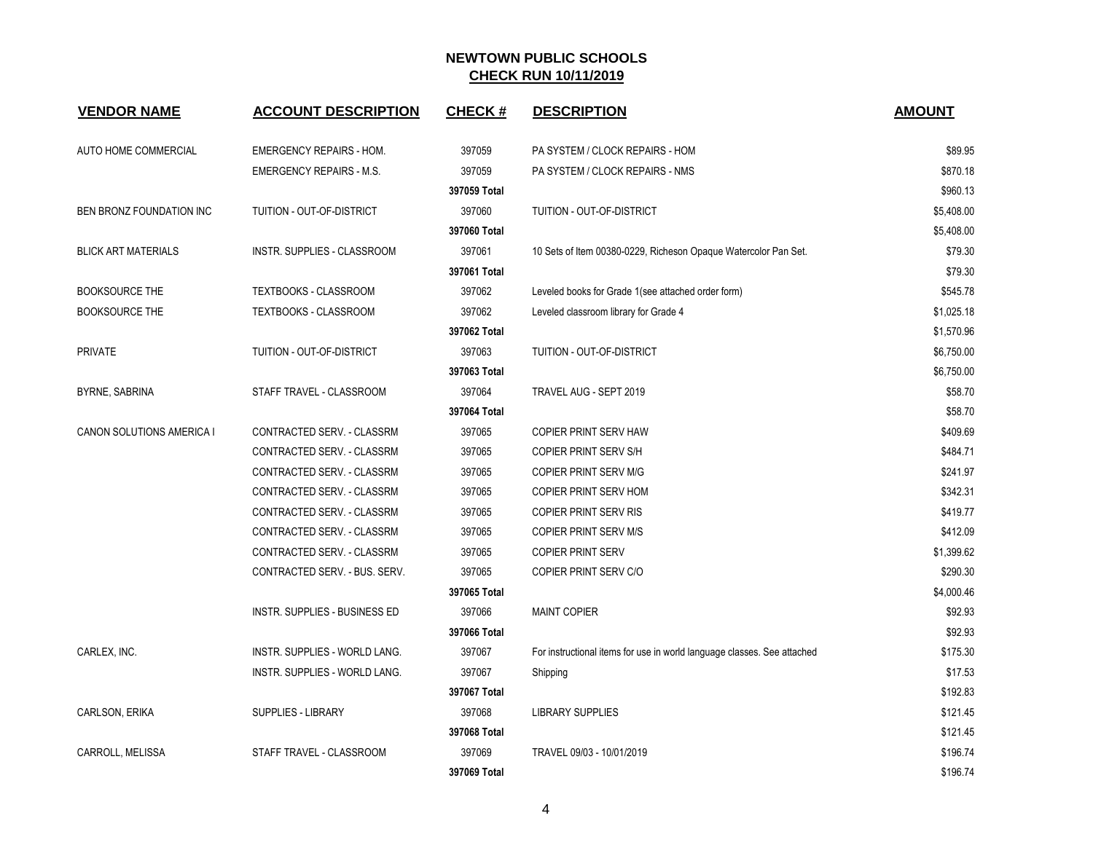| <b>VENDOR NAME</b>         | <b>ACCOUNT DESCRIPTION</b>           | <b>CHECK#</b> | <b>DESCRIPTION</b>                                                      | <b>AMOUNT</b> |
|----------------------------|--------------------------------------|---------------|-------------------------------------------------------------------------|---------------|
| AUTO HOME COMMERCIAL       | <b>EMERGENCY REPAIRS - HOM.</b>      | 397059        | PA SYSTEM / CLOCK REPAIRS - HOM                                         | \$89.95       |
|                            | <b>EMERGENCY REPAIRS - M.S.</b>      | 397059        | PA SYSTEM / CLOCK REPAIRS - NMS                                         | \$870.18      |
|                            |                                      | 397059 Total  |                                                                         | \$960.13      |
| BEN BRONZ FOUNDATION INC   | TUITION - OUT-OF-DISTRICT            | 397060        | TUITION - OUT-OF-DISTRICT                                               | \$5,408.00    |
|                            |                                      | 397060 Total  |                                                                         | \$5,408.00    |
| <b>BLICK ART MATERIALS</b> | INSTR. SUPPLIES - CLASSROOM          | 397061        | 10 Sets of Item 00380-0229, Richeson Opaque Watercolor Pan Set.         | \$79.30       |
|                            |                                      | 397061 Total  |                                                                         | \$79.30       |
| <b>BOOKSOURCE THE</b>      | <b>TEXTBOOKS - CLASSROOM</b>         | 397062        | Leveled books for Grade 1 (see attached order form)                     | \$545.78      |
| <b>BOOKSOURCE THE</b>      | TEXTBOOKS - CLASSROOM                | 397062        | Leveled classroom library for Grade 4                                   | \$1,025.18    |
|                            |                                      | 397062 Total  |                                                                         | \$1,570.96    |
| <b>PRIVATE</b>             | TUITION - OUT-OF-DISTRICT            | 397063        | TUITION - OUT-OF-DISTRICT                                               | \$6,750.00    |
|                            |                                      | 397063 Total  |                                                                         | \$6,750.00    |
| BYRNE, SABRINA             | STAFF TRAVEL - CLASSROOM             | 397064        | TRAVEL AUG - SEPT 2019                                                  | \$58.70       |
|                            |                                      | 397064 Total  |                                                                         | \$58.70       |
| CANON SOLUTIONS AMERICA I  | CONTRACTED SERV. - CLASSRM           | 397065        | COPIER PRINT SERV HAW                                                   | \$409.69      |
|                            | CONTRACTED SERV. - CLASSRM           | 397065        | <b>COPIER PRINT SERV S/H</b>                                            | \$484.71      |
|                            | CONTRACTED SERV. - CLASSRM           | 397065        | COPIER PRINT SERV M/G                                                   | \$241.97      |
|                            | CONTRACTED SERV. - CLASSRM           | 397065        | COPIER PRINT SERV HOM                                                   | \$342.31      |
|                            | CONTRACTED SERV. - CLASSRM           | 397065        | <b>COPIER PRINT SERV RIS</b>                                            | \$419.77      |
|                            | CONTRACTED SERV. - CLASSRM           | 397065        | <b>COPIER PRINT SERV M/S</b>                                            | \$412.09      |
|                            | CONTRACTED SERV. - CLASSRM           | 397065        | <b>COPIER PRINT SERV</b>                                                | \$1,399.62    |
|                            | CONTRACTED SERV. - BUS. SERV.        | 397065        | COPIER PRINT SERV C/O                                                   | \$290.30      |
|                            |                                      | 397065 Total  |                                                                         | \$4,000.46    |
|                            | <b>INSTR. SUPPLIES - BUSINESS ED</b> | 397066        | <b>MAINT COPIER</b>                                                     | \$92.93       |
|                            |                                      | 397066 Total  |                                                                         | \$92.93       |
| CARLEX, INC.               | INSTR. SUPPLIES - WORLD LANG.        | 397067        | For instructional items for use in world language classes. See attached | \$175.30      |
|                            | INSTR. SUPPLIES - WORLD LANG.        | 397067        | Shipping                                                                | \$17.53       |
|                            |                                      | 397067 Total  |                                                                         | \$192.83      |
| CARLSON, ERIKA             | <b>SUPPLIES - LIBRARY</b>            | 397068        | <b>LIBRARY SUPPLIES</b>                                                 | \$121.45      |
|                            |                                      | 397068 Total  |                                                                         | \$121.45      |
| CARROLL, MELISSA           | STAFF TRAVEL - CLASSROOM             | 397069        | TRAVEL 09/03 - 10/01/2019                                               | \$196.74      |
|                            |                                      | 397069 Total  |                                                                         | \$196.74      |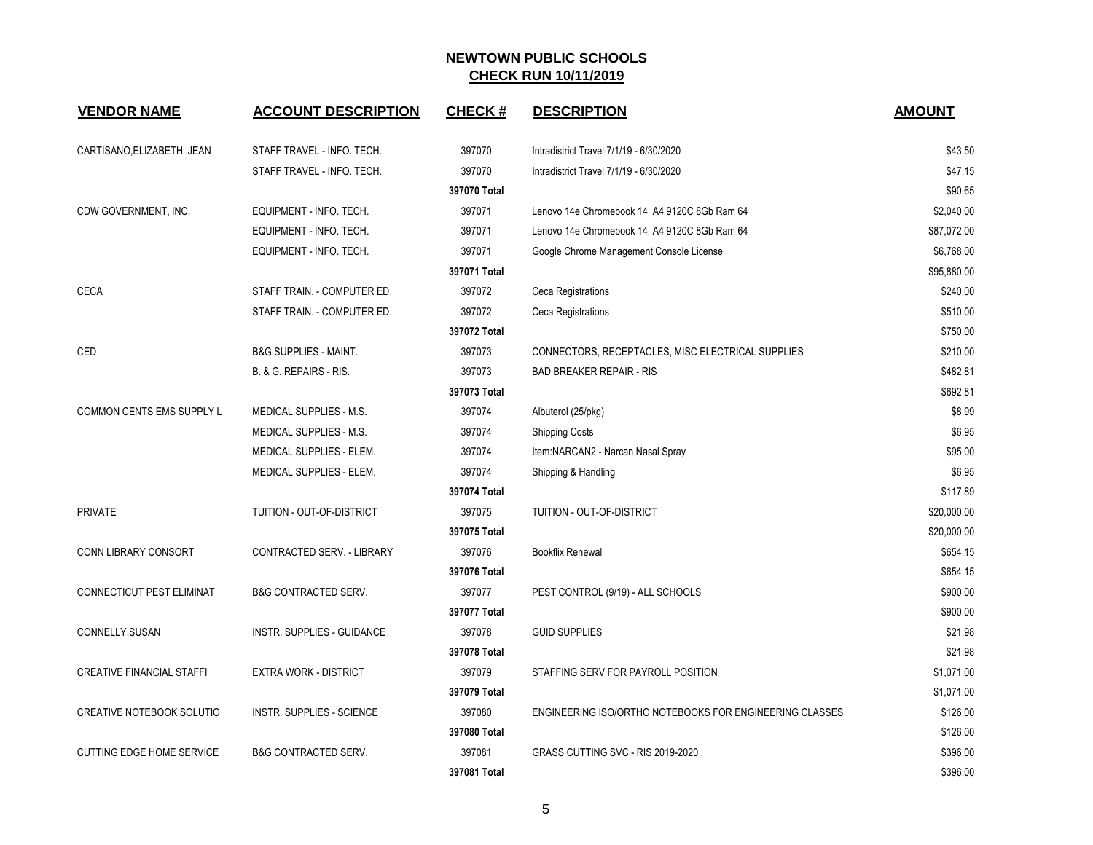| <b>VENDOR NAME</b>               | <b>ACCOUNT DESCRIPTION</b>        | <b>CHECK#</b> | <b>DESCRIPTION</b>                                      | <b>AMOUNT</b> |
|----------------------------------|-----------------------------------|---------------|---------------------------------------------------------|---------------|
| CARTISANO, ELIZABETH JEAN        | STAFF TRAVEL - INFO. TECH.        | 397070        | Intradistrict Travel 7/1/19 - 6/30/2020                 | \$43.50       |
|                                  | STAFF TRAVEL - INFO. TECH.        | 397070        | Intradistrict Travel 7/1/19 - 6/30/2020                 | \$47.15       |
|                                  |                                   | 397070 Total  |                                                         | \$90.65       |
| CDW GOVERNMENT, INC.             | EQUIPMENT - INFO. TECH.           | 397071        | Lenovo 14e Chromebook 14 A4 9120C 8Gb Ram 64            | \$2,040.00    |
|                                  | EQUIPMENT - INFO. TECH.           | 397071        | Lenovo 14e Chromebook 14 A4 9120C 8Gb Ram 64            | \$87,072.00   |
|                                  | EQUIPMENT - INFO. TECH.           | 397071        | Google Chrome Management Console License                | \$6,768.00    |
|                                  |                                   | 397071 Total  |                                                         | \$95,880.00   |
| <b>CECA</b>                      | STAFF TRAIN. - COMPUTER ED.       | 397072        | Ceca Registrations                                      | \$240.00      |
|                                  | STAFF TRAIN. - COMPUTER ED.       | 397072        | Ceca Registrations                                      | \$510.00      |
|                                  |                                   | 397072 Total  |                                                         | \$750.00      |
| CED                              | <b>B&amp;G SUPPLIES - MAINT.</b>  | 397073        | CONNECTORS, RECEPTACLES, MISC ELECTRICAL SUPPLIES       | \$210.00      |
|                                  | B. & G. REPAIRS - RIS.            | 397073        | <b>BAD BREAKER REPAIR - RIS</b>                         | \$482.81      |
|                                  |                                   | 397073 Total  |                                                         | \$692.81      |
| COMMON CENTS EMS SUPPLY L        | MEDICAL SUPPLIES - M.S.           | 397074        | Albuterol (25/pkg)                                      | \$8.99        |
|                                  | MEDICAL SUPPLIES - M.S.           | 397074        | <b>Shipping Costs</b>                                   | \$6.95        |
|                                  | MEDICAL SUPPLIES - ELEM.          | 397074        | Item:NARCAN2 - Narcan Nasal Spray                       | \$95.00       |
|                                  | MEDICAL SUPPLIES - ELEM.          | 397074        | Shipping & Handling                                     | \$6.95        |
|                                  |                                   | 397074 Total  |                                                         | \$117.89      |
| <b>PRIVATE</b>                   | TUITION - OUT-OF-DISTRICT         | 397075        | TUITION - OUT-OF-DISTRICT                               | \$20,000.00   |
|                                  |                                   | 397075 Total  |                                                         | \$20,000.00   |
| <b>CONN LIBRARY CONSORT</b>      | CONTRACTED SERV. - LIBRARY        | 397076        | <b>Bookflix Renewal</b>                                 | \$654.15      |
|                                  |                                   | 397076 Total  |                                                         | \$654.15      |
| CONNECTICUT PEST ELIMINAT        | <b>B&amp;G CONTRACTED SERV.</b>   | 397077        | PEST CONTROL (9/19) - ALL SCHOOLS                       | \$900.00      |
|                                  |                                   | 397077 Total  |                                                         | \$900.00      |
| CONNELLY, SUSAN                  | <b>INSTR. SUPPLIES - GUIDANCE</b> | 397078        | <b>GUID SUPPLIES</b>                                    | \$21.98       |
|                                  |                                   | 397078 Total  |                                                         | \$21.98       |
| <b>CREATIVE FINANCIAL STAFFI</b> | <b>EXTRA WORK - DISTRICT</b>      | 397079        | STAFFING SERV FOR PAYROLL POSITION                      | \$1,071.00    |
|                                  |                                   | 397079 Total  |                                                         | \$1,071.00    |
| <b>CREATIVE NOTEBOOK SOLUTIO</b> | <b>INSTR. SUPPLIES - SCIENCE</b>  | 397080        | ENGINEERING ISO/ORTHO NOTEBOOKS FOR ENGINEERING CLASSES | \$126.00      |
|                                  |                                   | 397080 Total  |                                                         | \$126.00      |
| <b>CUTTING EDGE HOME SERVICE</b> | <b>B&amp;G CONTRACTED SERV.</b>   | 397081        | GRASS CUTTING SVC - RIS 2019-2020                       | \$396.00      |
|                                  |                                   | 397081 Total  |                                                         | \$396.00      |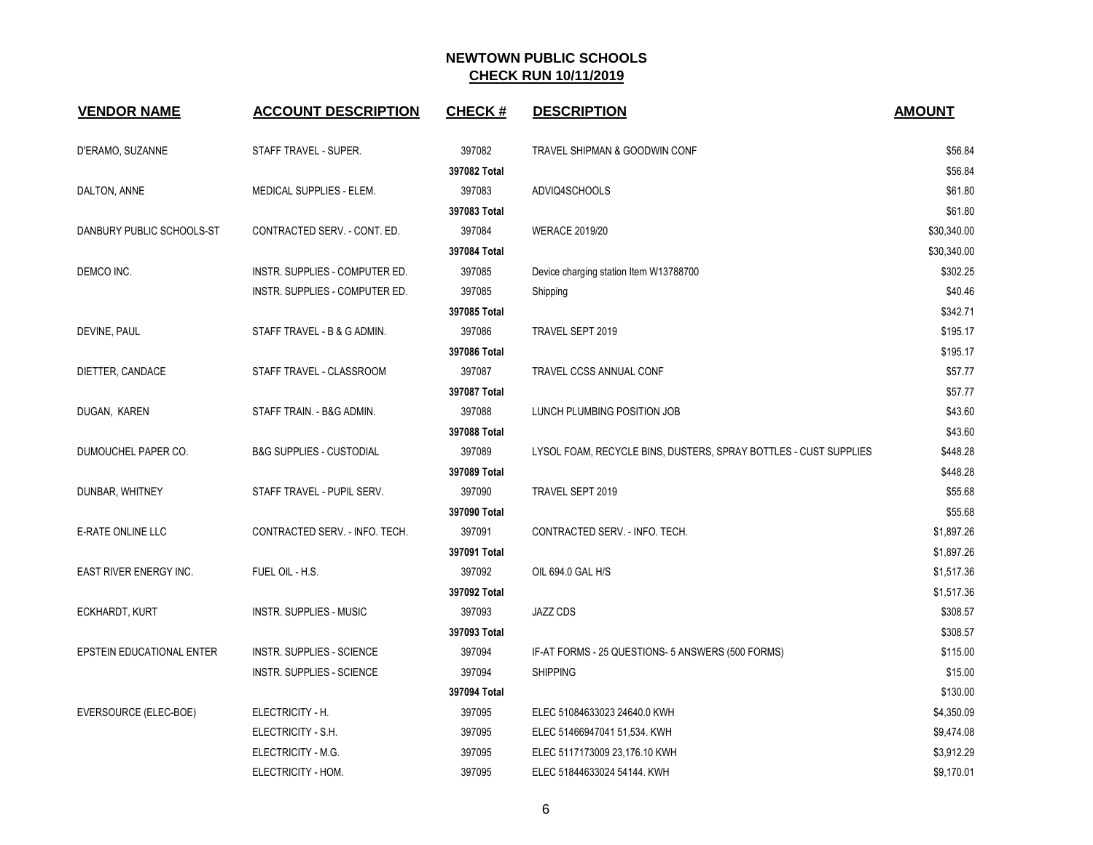| <b>VENDOR NAME</b>        | <b>ACCOUNT DESCRIPTION</b>          | <b>CHECK#</b> | <b>DESCRIPTION</b>                                               | <b>AMOUNT</b> |
|---------------------------|-------------------------------------|---------------|------------------------------------------------------------------|---------------|
| D'ERAMO, SUZANNE          | STAFF TRAVEL - SUPER.               | 397082        | TRAVEL SHIPMAN & GOODWIN CONF                                    | \$56.84       |
|                           |                                     | 397082 Total  |                                                                  | \$56.84       |
| DALTON, ANNE              | MEDICAL SUPPLIES - ELEM.            | 397083        | ADVIQ4SCHOOLS                                                    | \$61.80       |
|                           |                                     | 397083 Total  |                                                                  | \$61.80       |
| DANBURY PUBLIC SCHOOLS-ST | CONTRACTED SERV. - CONT. ED.        | 397084        | <b>WERACE 2019/20</b>                                            | \$30,340.00   |
|                           |                                     | 397084 Total  |                                                                  | \$30,340.00   |
| DEMCO INC.                | INSTR. SUPPLIES - COMPUTER ED.      | 397085        | Device charging station Item W13788700                           | \$302.25      |
|                           | INSTR. SUPPLIES - COMPUTER ED.      | 397085        | Shipping                                                         | \$40.46       |
|                           |                                     | 397085 Total  |                                                                  | \$342.71      |
| DEVINE, PAUL              | STAFF TRAVEL - B & G ADMIN.         | 397086        | TRAVEL SEPT 2019                                                 | \$195.17      |
|                           |                                     | 397086 Total  |                                                                  | \$195.17      |
| DIETTER, CANDACE          | STAFF TRAVEL - CLASSROOM            | 397087        | TRAVEL CCSS ANNUAL CONF                                          | \$57.77       |
|                           |                                     | 397087 Total  |                                                                  | \$57.77       |
| DUGAN, KAREN              | STAFF TRAIN. - B&G ADMIN.           | 397088        | LUNCH PLUMBING POSITION JOB                                      | \$43.60       |
|                           |                                     | 397088 Total  |                                                                  | \$43.60       |
| DUMOUCHEL PAPER CO.       | <b>B&amp;G SUPPLIES - CUSTODIAL</b> | 397089        | LYSOL FOAM, RECYCLE BINS, DUSTERS, SPRAY BOTTLES - CUST SUPPLIES | \$448.28      |
|                           |                                     | 397089 Total  |                                                                  | \$448.28      |
| DUNBAR, WHITNEY           | STAFF TRAVEL - PUPIL SERV.          | 397090        | TRAVEL SEPT 2019                                                 | \$55.68       |
|                           |                                     | 397090 Total  |                                                                  | \$55.68       |
| E-RATE ONLINE LLC         | CONTRACTED SERV. - INFO. TECH.      | 397091        | CONTRACTED SERV. - INFO. TECH.                                   | \$1,897.26    |
|                           |                                     | 397091 Total  |                                                                  | \$1,897.26    |
| EAST RIVER ENERGY INC.    | FUEL OIL - H.S.                     | 397092        | OIL 694.0 GAL H/S                                                | \$1,517.36    |
|                           |                                     | 397092 Total  |                                                                  | \$1,517.36    |
| ECKHARDT, KURT            | INSTR. SUPPLIES - MUSIC             | 397093        | <b>JAZZ CDS</b>                                                  | \$308.57      |
|                           |                                     | 397093 Total  |                                                                  | \$308.57      |
| EPSTEIN EDUCATIONAL ENTER | INSTR. SUPPLIES - SCIENCE           | 397094        | IF-AT FORMS - 25 QUESTIONS- 5 ANSWERS (500 FORMS)                | \$115.00      |
|                           | <b>INSTR. SUPPLIES - SCIENCE</b>    | 397094        | <b>SHIPPING</b>                                                  | \$15.00       |
|                           |                                     | 397094 Total  |                                                                  | \$130.00      |
| EVERSOURCE (ELEC-BOE)     | ELECTRICITY - H.                    | 397095        | ELEC 51084633023 24640.0 KWH                                     | \$4,350.09    |
|                           | ELECTRICITY - S.H.                  | 397095        | ELEC 51466947041 51,534. KWH                                     | \$9,474.08    |
|                           | ELECTRICITY - M.G.                  | 397095        | ELEC 5117173009 23,176.10 KWH                                    | \$3,912.29    |
|                           | ELECTRICITY - HOM.                  | 397095        | ELEC 51844633024 54144. KWH                                      | \$9,170.01    |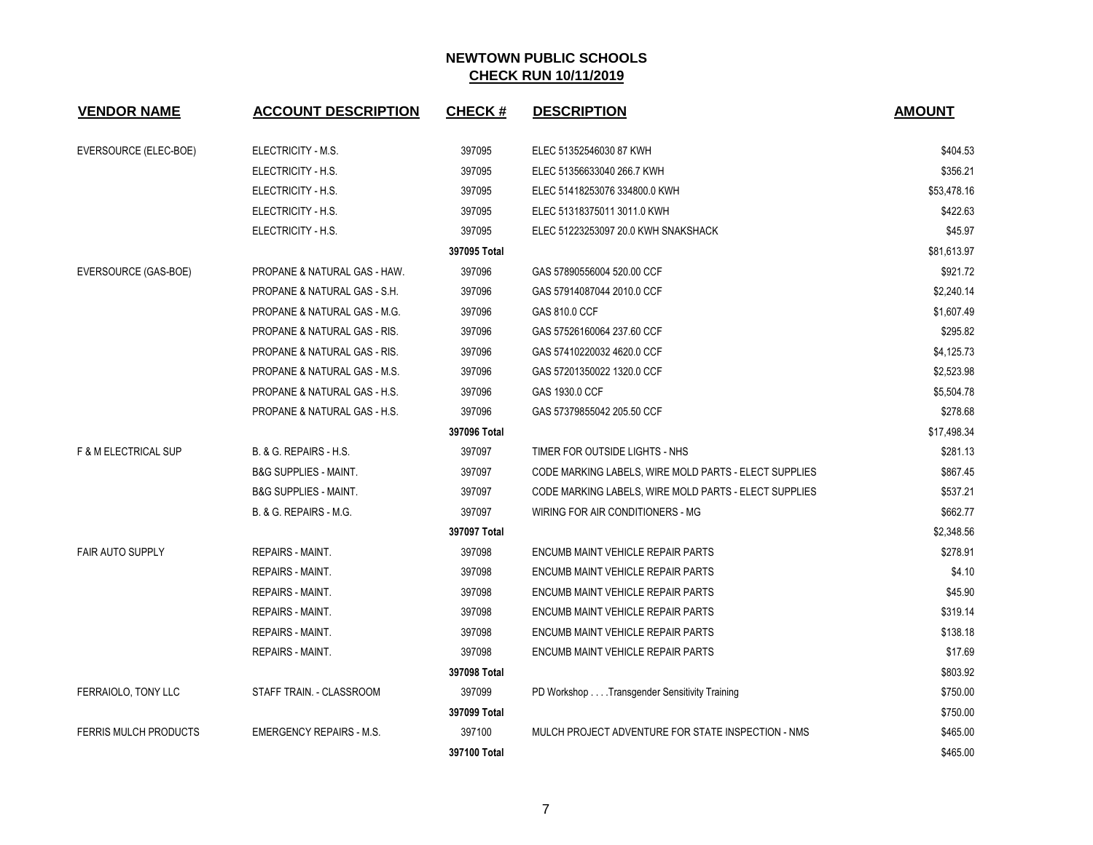| <b>VENDOR NAME</b>              | <b>ACCOUNT DESCRIPTION</b>              | <b>CHECK#</b> | <b>DESCRIPTION</b>                                    | <b>AMOUNT</b> |
|---------------------------------|-----------------------------------------|---------------|-------------------------------------------------------|---------------|
| EVERSOURCE (ELEC-BOE)           | ELECTRICITY - M.S.                      | 397095        | ELEC 51352546030 87 KWH                               | \$404.53      |
|                                 | ELECTRICITY - H.S.                      | 397095        | ELEC 51356633040 266.7 KWH                            | \$356.21      |
|                                 | ELECTRICITY - H.S.                      | 397095        | ELEC 51418253076 334800.0 KWH                         | \$53,478.16   |
|                                 | ELECTRICITY - H.S.                      | 397095        | ELEC 51318375011 3011.0 KWH                           | \$422.63      |
|                                 | ELECTRICITY - H.S.                      | 397095        | ELEC 51223253097 20.0 KWH SNAKSHACK                   | \$45.97       |
|                                 |                                         | 397095 Total  |                                                       | \$81,613.97   |
| EVERSOURCE (GAS-BOE)            | PROPANE & NATURAL GAS - HAW.            | 397096        | GAS 57890556004 520.00 CCF                            | \$921.72      |
|                                 | PROPANE & NATURAL GAS - S.H.            | 397096        | GAS 57914087044 2010.0 CCF                            | \$2,240.14    |
|                                 | PROPANE & NATURAL GAS - M.G.            | 397096        | GAS 810.0 CCF                                         | \$1,607.49    |
|                                 | PROPANE & NATURAL GAS - RIS.            | 397096        | GAS 57526160064 237.60 CCF                            | \$295.82      |
|                                 | PROPANE & NATURAL GAS - RIS.            | 397096        | GAS 57410220032 4620.0 CCF                            | \$4,125.73    |
|                                 | <b>PROPANE &amp; NATURAL GAS - M.S.</b> | 397096        | GAS 57201350022 1320.0 CCF                            | \$2,523.98    |
|                                 | PROPANE & NATURAL GAS - H.S.            | 397096        | GAS 1930.0 CCF                                        | \$5,504.78    |
|                                 | PROPANE & NATURAL GAS - H.S.            | 397096        | GAS 57379855042 205.50 CCF                            | \$278.68      |
|                                 |                                         | 397096 Total  |                                                       | \$17,498.34   |
| <b>F &amp; M ELECTRICAL SUP</b> | B. & G. REPAIRS - H.S.                  | 397097        | TIMER FOR OUTSIDE LIGHTS - NHS                        | \$281.13      |
|                                 | <b>B&amp;G SUPPLIES - MAINT.</b>        | 397097        | CODE MARKING LABELS, WIRE MOLD PARTS - ELECT SUPPLIES | \$867.45      |
|                                 | <b>B&amp;G SUPPLIES - MAINT.</b>        | 397097        | CODE MARKING LABELS, WIRE MOLD PARTS - ELECT SUPPLIES | \$537.21      |
|                                 | B. & G. REPAIRS - M.G.                  | 397097        | WIRING FOR AIR CONDITIONERS - MG                      | \$662.77      |
|                                 |                                         | 397097 Total  |                                                       | \$2,348.56    |
| <b>FAIR AUTO SUPPLY</b>         | REPAIRS - MAINT.                        | 397098        | ENCUMB MAINT VEHICLE REPAIR PARTS                     | \$278.91      |
|                                 | <b>REPAIRS - MAINT.</b>                 | 397098        | ENCUMB MAINT VEHICLE REPAIR PARTS                     | \$4.10        |
|                                 | REPAIRS - MAINT.                        | 397098        | ENCUMB MAINT VEHICLE REPAIR PARTS                     | \$45.90       |
|                                 | REPAIRS - MAINT.                        | 397098        | ENCUMB MAINT VEHICLE REPAIR PARTS                     | \$319.14      |
|                                 | REPAIRS - MAINT.                        | 397098        | ENCUMB MAINT VEHICLE REPAIR PARTS                     | \$138.18      |
|                                 | <b>REPAIRS - MAINT.</b>                 | 397098        | ENCUMB MAINT VEHICLE REPAIR PARTS                     | \$17.69       |
|                                 |                                         | 397098 Total  |                                                       | \$803.92      |
| FERRAIOLO, TONY LLC             | STAFF TRAIN. - CLASSROOM                | 397099        | PD Workshop Transgender Sensitivity Training          | \$750.00      |
|                                 |                                         | 397099 Total  |                                                       | \$750.00      |
| <b>FERRIS MULCH PRODUCTS</b>    | <b>EMERGENCY REPAIRS - M.S.</b>         | 397100        | MULCH PROJECT ADVENTURE FOR STATE INSPECTION - NMS    | \$465.00      |
|                                 |                                         | 397100 Total  |                                                       | \$465.00      |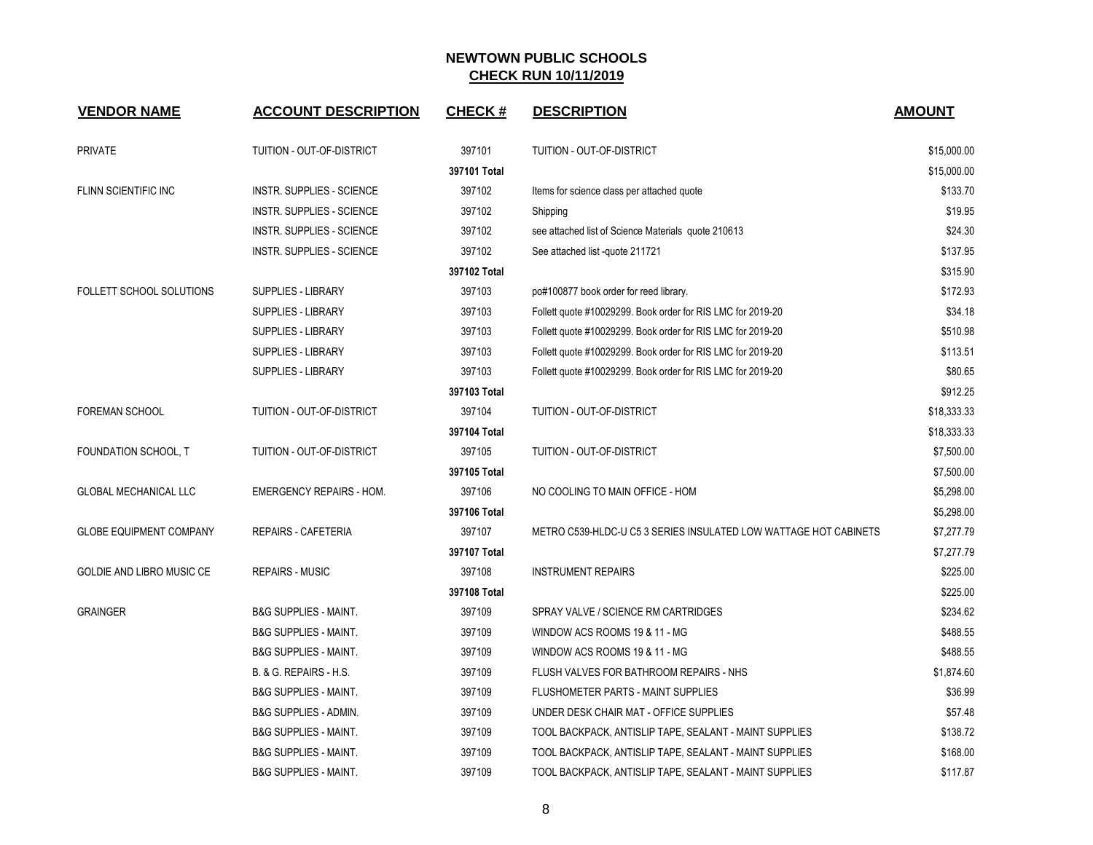| <b>VENDOR NAME</b>             | <b>ACCOUNT DESCRIPTION</b>       | <b>CHECK#</b> | <b>DESCRIPTION</b>                                               | <b>AMOUNT</b> |
|--------------------------------|----------------------------------|---------------|------------------------------------------------------------------|---------------|
| <b>PRIVATE</b>                 | TUITION - OUT-OF-DISTRICT        | 397101        | <b>TUITION - OUT-OF-DISTRICT</b>                                 | \$15,000.00   |
|                                |                                  | 397101 Total  |                                                                  | \$15,000.00   |
| FLINN SCIENTIFIC INC           | INSTR. SUPPLIES - SCIENCE        | 397102        | Items for science class per attached quote                       | \$133.70      |
|                                | INSTR. SUPPLIES - SCIENCE        | 397102        | Shipping                                                         | \$19.95       |
|                                | INSTR. SUPPLIES - SCIENCE        | 397102        | see attached list of Science Materials quote 210613              | \$24.30       |
|                                | INSTR. SUPPLIES - SCIENCE        | 397102        | See attached list -quote 211721                                  | \$137.95      |
|                                |                                  | 397102 Total  |                                                                  | \$315.90      |
| FOLLETT SCHOOL SOLUTIONS       | <b>SUPPLIES - LIBRARY</b>        | 397103        | po#100877 book order for reed library.                           | \$172.93      |
|                                | SUPPLIES - LIBRARY               | 397103        | Follett quote #10029299. Book order for RIS LMC for 2019-20      | \$34.18       |
|                                | SUPPLIES - LIBRARY               | 397103        | Follett quote #10029299. Book order for RIS LMC for 2019-20      | \$510.98      |
|                                | <b>SUPPLIES - LIBRARY</b>        | 397103        | Follett quote #10029299. Book order for RIS LMC for 2019-20      | \$113.51      |
|                                | <b>SUPPLIES - LIBRARY</b>        | 397103        | Follett quote #10029299. Book order for RIS LMC for 2019-20      | \$80.65       |
|                                |                                  | 397103 Total  |                                                                  | \$912.25      |
| <b>FOREMAN SCHOOL</b>          | TUITION - OUT-OF-DISTRICT        | 397104        | TUITION - OUT-OF-DISTRICT                                        | \$18,333.33   |
|                                |                                  | 397104 Total  |                                                                  | \$18,333.33   |
| FOUNDATION SCHOOL, T           | TUITION - OUT-OF-DISTRICT        | 397105        | TUITION - OUT-OF-DISTRICT                                        | \$7,500.00    |
|                                |                                  | 397105 Total  |                                                                  | \$7,500.00    |
| <b>GLOBAL MECHANICAL LLC</b>   | <b>EMERGENCY REPAIRS - HOM.</b>  | 397106        | NO COOLING TO MAIN OFFICE - HOM                                  | \$5,298.00    |
|                                |                                  | 397106 Total  |                                                                  | \$5,298.00    |
| <b>GLOBE EQUIPMENT COMPANY</b> | <b>REPAIRS - CAFETERIA</b>       | 397107        | METRO C539-HLDC-U C5 3 SERIES INSULATED LOW WATTAGE HOT CABINETS | \$7,277.79    |
|                                |                                  | 397107 Total  |                                                                  | \$7,277.79    |
| GOLDIE AND LIBRO MUSIC CE      | <b>REPAIRS - MUSIC</b>           | 397108        | <b>INSTRUMENT REPAIRS</b>                                        | \$225.00      |
|                                |                                  | 397108 Total  |                                                                  | \$225.00      |
| <b>GRAINGER</b>                | <b>B&amp;G SUPPLIES - MAINT.</b> | 397109        | SPRAY VALVE / SCIENCE RM CARTRIDGES                              | \$234.62      |
|                                | <b>B&amp;G SUPPLIES - MAINT.</b> | 397109        | WINDOW ACS ROOMS 19 & 11 - MG                                    | \$488.55      |
|                                | <b>B&amp;G SUPPLIES - MAINT.</b> | 397109        | WINDOW ACS ROOMS 19 & 11 - MG                                    | \$488.55      |
|                                | B. & G. REPAIRS - H.S.           | 397109        | FLUSH VALVES FOR BATHROOM REPAIRS - NHS                          | \$1,874.60    |
|                                | <b>B&amp;G SUPPLIES - MAINT.</b> | 397109        | FLUSHOMETER PARTS - MAINT SUPPLIES                               | \$36.99       |
|                                | B&G SUPPLIES - ADMIN.            | 397109        | UNDER DESK CHAIR MAT - OFFICE SUPPLIES                           | \$57.48       |
|                                | <b>B&amp;G SUPPLIES - MAINT.</b> | 397109        | TOOL BACKPACK, ANTISLIP TAPE, SEALANT - MAINT SUPPLIES           | \$138.72      |
|                                | <b>B&amp;G SUPPLIES - MAINT.</b> | 397109        | TOOL BACKPACK, ANTISLIP TAPE, SEALANT - MAINT SUPPLIES           | \$168.00      |
|                                | <b>B&amp;G SUPPLIES - MAINT.</b> | 397109        | TOOL BACKPACK, ANTISLIP TAPE, SEALANT - MAINT SUPPLIES           | \$117.87      |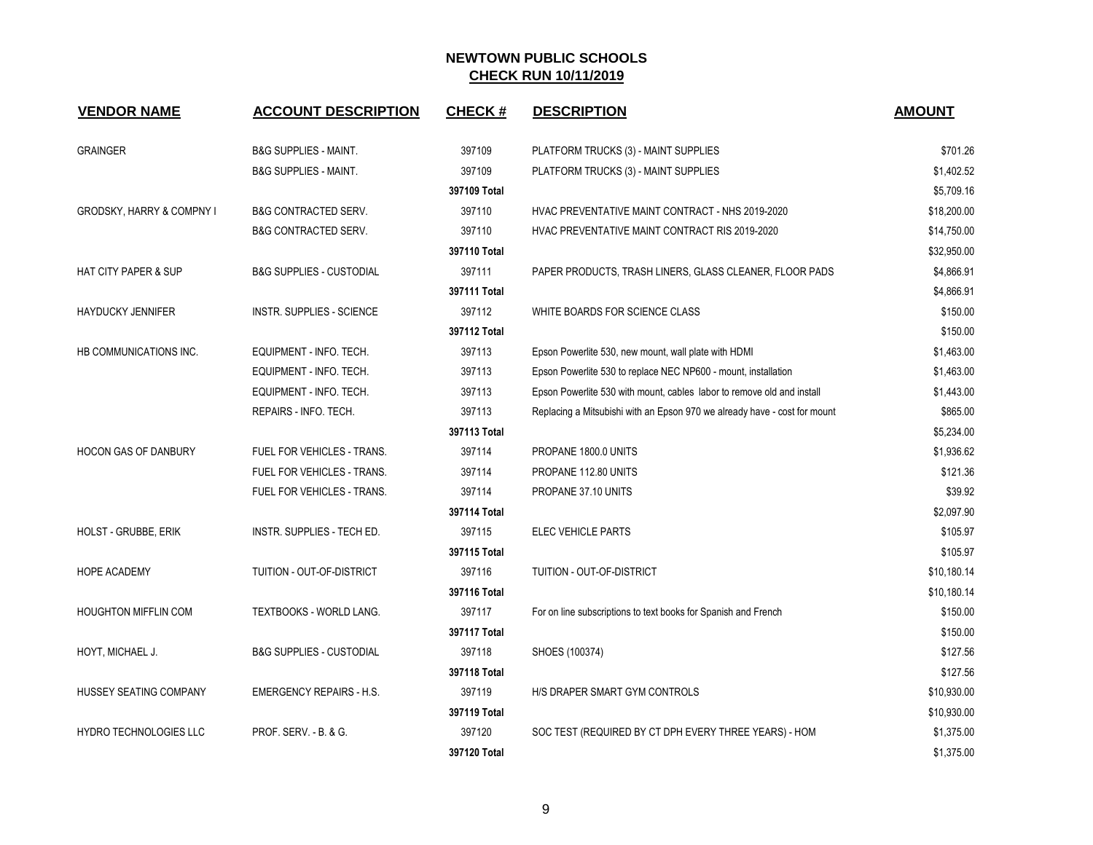| <b>VENDOR NAME</b>                   | <b>ACCOUNT DESCRIPTION</b>          | <b>CHECK#</b> | <b>DESCRIPTION</b>                                                        | <b>AMOUNT</b> |
|--------------------------------------|-------------------------------------|---------------|---------------------------------------------------------------------------|---------------|
| <b>GRAINGER</b>                      | <b>B&amp;G SUPPLIES - MAINT.</b>    | 397109        | PLATFORM TRUCKS (3) - MAINT SUPPLIES                                      | \$701.26      |
|                                      | <b>B&amp;G SUPPLIES - MAINT.</b>    | 397109        | PLATFORM TRUCKS (3) - MAINT SUPPLIES                                      | \$1,402.52    |
|                                      |                                     | 397109 Total  |                                                                           | \$5,709.16    |
| <b>GRODSKY, HARRY &amp; COMPNY I</b> | <b>B&amp;G CONTRACTED SERV.</b>     | 397110        | HVAC PREVENTATIVE MAINT CONTRACT - NHS 2019-2020                          | \$18,200.00   |
|                                      | <b>B&amp;G CONTRACTED SERV.</b>     | 397110        | HVAC PREVENTATIVE MAINT CONTRACT RIS 2019-2020                            | \$14,750.00   |
|                                      |                                     | 397110 Total  |                                                                           | \$32,950.00   |
| <b>HAT CITY PAPER &amp; SUP</b>      | <b>B&amp;G SUPPLIES - CUSTODIAL</b> | 397111        | PAPER PRODUCTS, TRASH LINERS, GLASS CLEANER, FLOOR PADS                   | \$4,866.91    |
|                                      |                                     | 397111 Total  |                                                                           | \$4,866.91    |
| <b>HAYDUCKY JENNIFER</b>             | INSTR. SUPPLIES - SCIENCE           | 397112        | WHITE BOARDS FOR SCIENCE CLASS                                            | \$150.00      |
|                                      |                                     | 397112 Total  |                                                                           | \$150.00      |
| HB COMMUNICATIONS INC.               | EQUIPMENT - INFO. TECH.             | 397113        | Epson Powerlite 530, new mount, wall plate with HDMI                      | \$1,463.00    |
|                                      | EQUIPMENT - INFO. TECH.             | 397113        | Epson Powerlite 530 to replace NEC NP600 - mount, installation            | \$1,463.00    |
|                                      | EQUIPMENT - INFO. TECH.             | 397113        | Epson Powerlite 530 with mount, cables labor to remove old and install    | \$1,443.00    |
|                                      | REPAIRS - INFO. TECH.               | 397113        | Replacing a Mitsubishi with an Epson 970 we already have - cost for mount | \$865.00      |
|                                      |                                     | 397113 Total  |                                                                           | \$5,234.00    |
| <b>HOCON GAS OF DANBURY</b>          | FUEL FOR VEHICLES - TRANS.          | 397114        | PROPANE 1800.0 UNITS                                                      | \$1,936.62    |
|                                      | FUEL FOR VEHICLES - TRANS.          | 397114        | PROPANE 112.80 UNITS                                                      | \$121.36      |
|                                      | FUEL FOR VEHICLES - TRANS.          | 397114        | PROPANE 37.10 UNITS                                                       | \$39.92       |
|                                      |                                     | 397114 Total  |                                                                           | \$2,097.90    |
| HOLST - GRUBBE, ERIK                 | INSTR. SUPPLIES - TECH ED.          | 397115        | ELEC VEHICLE PARTS                                                        | \$105.97      |
|                                      |                                     | 397115 Total  |                                                                           | \$105.97      |
| <b>HOPE ACADEMY</b>                  | TUITION - OUT-OF-DISTRICT           | 397116        | TUITION - OUT-OF-DISTRICT                                                 | \$10,180.14   |
|                                      |                                     | 397116 Total  |                                                                           | \$10,180.14   |
| <b>HOUGHTON MIFFLIN COM</b>          | TEXTBOOKS - WORLD LANG.             | 397117        | For on line subscriptions to text books for Spanish and French            | \$150.00      |
|                                      |                                     | 397117 Total  |                                                                           | \$150.00      |
| HOYT, MICHAEL J.                     | B&G SUPPLIES - CUSTODIAL            | 397118        | SHOES (100374)                                                            | \$127.56      |
|                                      |                                     | 397118 Total  |                                                                           | \$127.56      |
| HUSSEY SEATING COMPANY               | <b>EMERGENCY REPAIRS - H.S.</b>     | 397119        | H/S DRAPER SMART GYM CONTROLS                                             | \$10,930.00   |
|                                      |                                     | 397119 Total  |                                                                           | \$10,930.00   |
| HYDRO TECHNOLOGIES LLC               | PROF. SERV. - B. & G.               | 397120        | SOC TEST (REQUIRED BY CT DPH EVERY THREE YEARS) - HOM                     | \$1,375.00    |
|                                      |                                     | 397120 Total  |                                                                           | \$1,375.00    |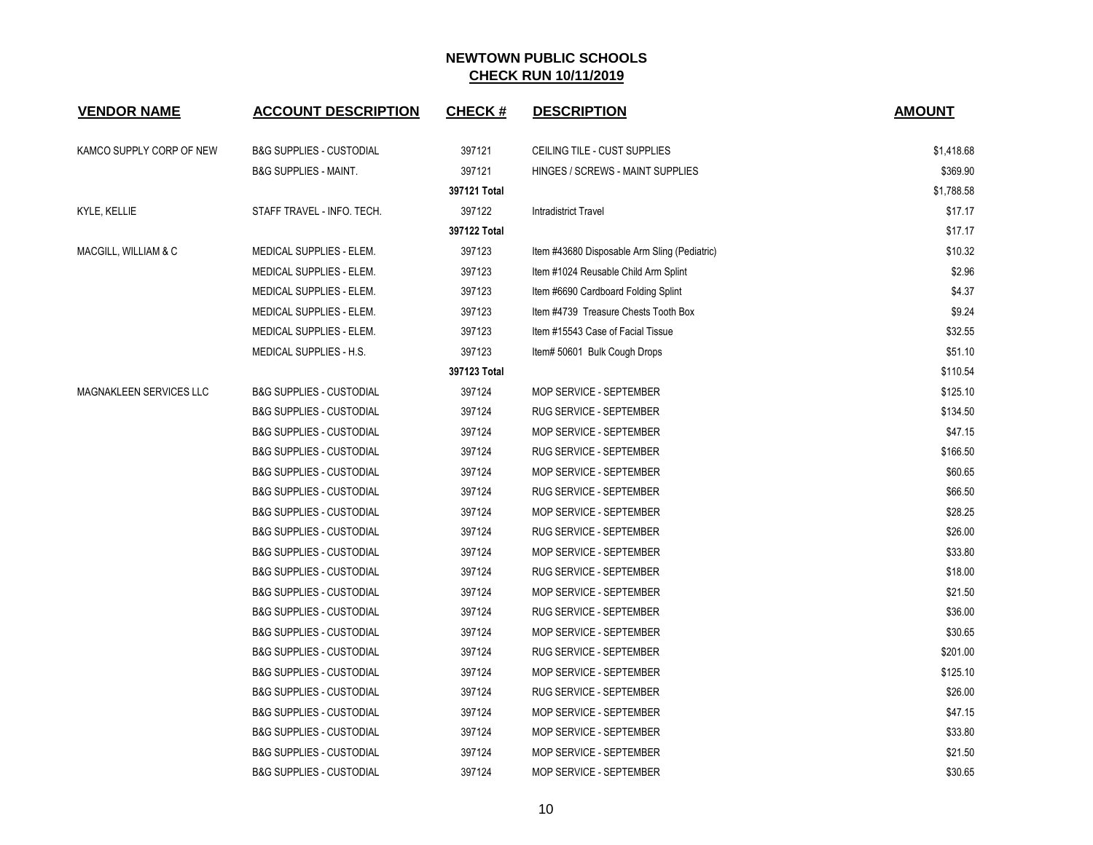| <b>VENDOR NAME</b>       | <b>ACCOUNT DESCRIPTION</b>          | <b>CHECK#</b> | <b>DESCRIPTION</b>                           | <b>AMOUNT</b> |
|--------------------------|-------------------------------------|---------------|----------------------------------------------|---------------|
| KAMCO SUPPLY CORP OF NEW | <b>B&amp;G SUPPLIES - CUSTODIAL</b> | 397121        | CEILING TILE - CUST SUPPLIES                 | \$1,418.68    |
|                          | <b>B&amp;G SUPPLIES - MAINT.</b>    | 397121        | HINGES / SCREWS - MAINT SUPPLIES             | \$369.90      |
|                          |                                     | 397121 Total  |                                              | \$1,788.58    |
| KYLE, KELLIE             | STAFF TRAVEL - INFO. TECH.          | 397122        | <b>Intradistrict Travel</b>                  | \$17.17       |
|                          |                                     | 397122 Total  |                                              | \$17.17       |
| MACGILL, WILLIAM & C     | MEDICAL SUPPLIES - ELEM.            | 397123        | Item #43680 Disposable Arm Sling (Pediatric) | \$10.32       |
|                          | MEDICAL SUPPLIES - ELEM.            | 397123        | Item #1024 Reusable Child Arm Splint         | \$2.96        |
|                          | MEDICAL SUPPLIES - ELEM.            | 397123        | Item #6690 Cardboard Folding Splint          | \$4.37        |
|                          | MEDICAL SUPPLIES - ELEM.            | 397123        | Item #4739 Treasure Chests Tooth Box         | \$9.24        |
|                          | MEDICAL SUPPLIES - ELEM.            | 397123        | Item #15543 Case of Facial Tissue            | \$32.55       |
|                          | MEDICAL SUPPLIES - H.S.             | 397123        | Item# 50601 Bulk Cough Drops                 | \$51.10       |
|                          |                                     | 397123 Total  |                                              | \$110.54      |
| MAGNAKLEEN SERVICES LLC  | <b>B&amp;G SUPPLIES - CUSTODIAL</b> | 397124        | MOP SERVICE - SEPTEMBER                      | \$125.10      |
|                          | <b>B&amp;G SUPPLIES - CUSTODIAL</b> | 397124        | RUG SERVICE - SEPTEMBER                      | \$134.50      |
|                          | <b>B&amp;G SUPPLIES - CUSTODIAL</b> | 397124        | MOP SERVICE - SEPTEMBER                      | \$47.15       |
|                          | <b>B&amp;G SUPPLIES - CUSTODIAL</b> | 397124        | RUG SERVICE - SEPTEMBER                      | \$166.50      |
|                          | <b>B&amp;G SUPPLIES - CUSTODIAL</b> | 397124        | MOP SERVICE - SEPTEMBER                      | \$60.65       |
|                          | <b>B&amp;G SUPPLIES - CUSTODIAL</b> | 397124        | RUG SERVICE - SEPTEMBER                      | \$66.50       |
|                          | <b>B&amp;G SUPPLIES - CUSTODIAL</b> | 397124        | MOP SERVICE - SEPTEMBER                      | \$28.25       |
|                          | <b>B&amp;G SUPPLIES - CUSTODIAL</b> | 397124        | RUG SERVICE - SEPTEMBER                      | \$26.00       |
|                          | <b>B&amp;G SUPPLIES - CUSTODIAL</b> | 397124        | MOP SERVICE - SEPTEMBER                      | \$33.80       |
|                          | <b>B&amp;G SUPPLIES - CUSTODIAL</b> | 397124        | <b>RUG SERVICE - SEPTEMBER</b>               | \$18.00       |
|                          | <b>B&amp;G SUPPLIES - CUSTODIAL</b> | 397124        | MOP SERVICE - SEPTEMBER                      | \$21.50       |
|                          | <b>B&amp;G SUPPLIES - CUSTODIAL</b> | 397124        | RUG SERVICE - SEPTEMBER                      | \$36.00       |
|                          | <b>B&amp;G SUPPLIES - CUSTODIAL</b> | 397124        | MOP SERVICE - SEPTEMBER                      | \$30.65       |
|                          | <b>B&amp;G SUPPLIES - CUSTODIAL</b> | 397124        | RUG SERVICE - SEPTEMBER                      | \$201.00      |
|                          | <b>B&amp;G SUPPLIES - CUSTODIAL</b> | 397124        | MOP SERVICE - SEPTEMBER                      | \$125.10      |
|                          | <b>B&amp;G SUPPLIES - CUSTODIAL</b> | 397124        | RUG SERVICE - SEPTEMBER                      | \$26.00       |
|                          | <b>B&amp;G SUPPLIES - CUSTODIAL</b> | 397124        | MOP SERVICE - SEPTEMBER                      | \$47.15       |
|                          | <b>B&amp;G SUPPLIES - CUSTODIAL</b> | 397124        | MOP SERVICE - SEPTEMBER                      | \$33.80       |
|                          | <b>B&amp;G SUPPLIES - CUSTODIAL</b> | 397124        | MOP SERVICE - SEPTEMBER                      | \$21.50       |
|                          | <b>B&amp;G SUPPLIES - CUSTODIAL</b> | 397124        | MOP SERVICE - SEPTEMBER                      | \$30.65       |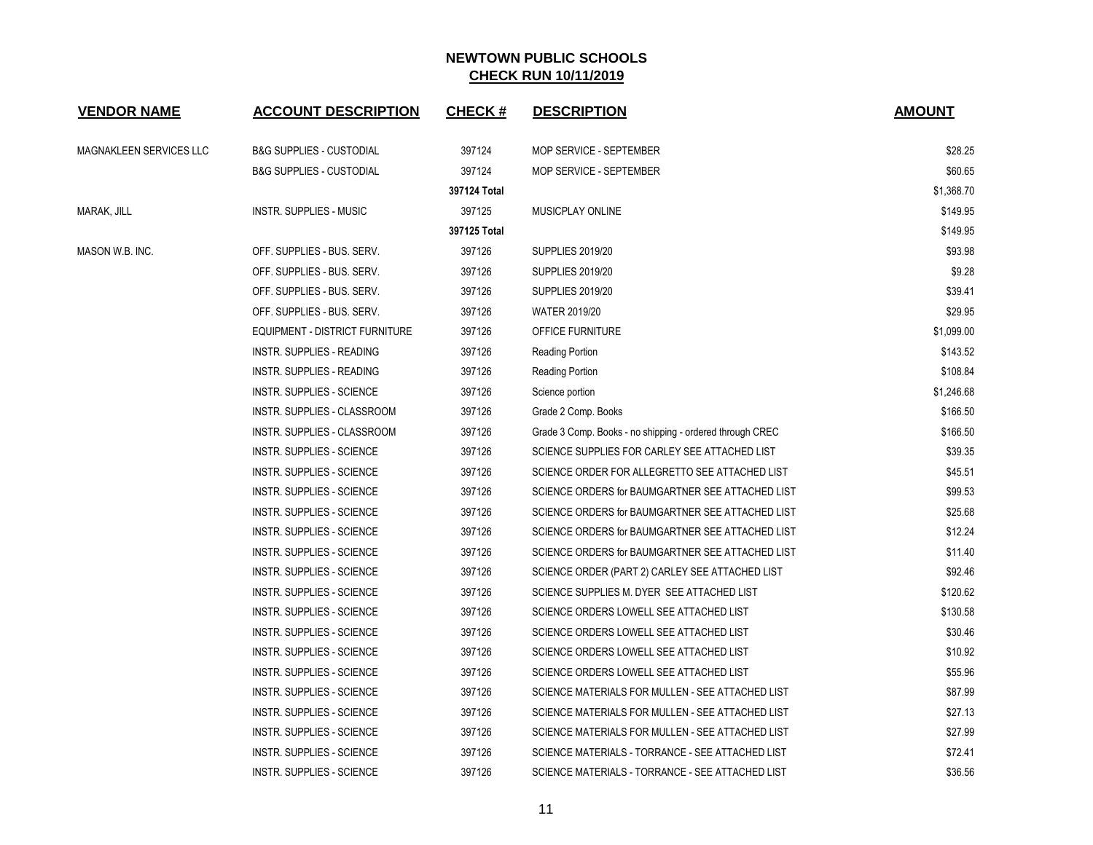| <b>VENDOR NAME</b>      | <b>ACCOUNT DESCRIPTION</b>          | <b>CHECK#</b> | <b>DESCRIPTION</b>                                       | <b>AMOUNT</b> |
|-------------------------|-------------------------------------|---------------|----------------------------------------------------------|---------------|
| MAGNAKLEEN SERVICES LLC | <b>B&amp;G SUPPLIES - CUSTODIAL</b> | 397124        | MOP SERVICE - SEPTEMBER                                  | \$28.25       |
|                         | <b>B&amp;G SUPPLIES - CUSTODIAL</b> | 397124        | MOP SERVICE - SEPTEMBER                                  | \$60.65       |
|                         |                                     | 397124 Total  |                                                          | \$1,368.70    |
| MARAK, JILL             | <b>INSTR. SUPPLIES - MUSIC</b>      | 397125        | MUSICPLAY ONLINE                                         | \$149.95      |
|                         |                                     | 397125 Total  |                                                          | \$149.95      |
| MASON W.B. INC.         | OFF. SUPPLIES - BUS. SERV.          | 397126        | <b>SUPPLIES 2019/20</b>                                  | \$93.98       |
|                         | OFF. SUPPLIES - BUS. SERV.          | 397126        | <b>SUPPLIES 2019/20</b>                                  | \$9.28        |
|                         | OFF. SUPPLIES - BUS. SERV.          | 397126        | <b>SUPPLIES 2019/20</b>                                  | \$39.41       |
|                         | OFF. SUPPLIES - BUS. SERV.          | 397126        | <b>WATER 2019/20</b>                                     | \$29.95       |
|                         | EQUIPMENT - DISTRICT FURNITURE      | 397126        | OFFICE FURNITURE                                         | \$1,099.00    |
|                         | INSTR. SUPPLIES - READING           | 397126        | Reading Portion                                          | \$143.52      |
|                         | <b>INSTR. SUPPLIES - READING</b>    | 397126        | Reading Portion                                          | \$108.84      |
|                         | <b>INSTR. SUPPLIES - SCIENCE</b>    | 397126        | Science portion                                          | \$1,246.68    |
|                         | INSTR. SUPPLIES - CLASSROOM         | 397126        | Grade 2 Comp. Books                                      | \$166.50      |
|                         | INSTR. SUPPLIES - CLASSROOM         | 397126        | Grade 3 Comp. Books - no shipping - ordered through CREC | \$166.50      |
|                         | <b>INSTR. SUPPLIES - SCIENCE</b>    | 397126        | SCIENCE SUPPLIES FOR CARLEY SEE ATTACHED LIST            | \$39.35       |
|                         | <b>INSTR. SUPPLIES - SCIENCE</b>    | 397126        | SCIENCE ORDER FOR ALLEGRETTO SEE ATTACHED LIST           | \$45.51       |
|                         | <b>INSTR. SUPPLIES - SCIENCE</b>    | 397126        | SCIENCE ORDERS for BAUMGARTNER SEE ATTACHED LIST         | \$99.53       |
|                         | <b>INSTR. SUPPLIES - SCIENCE</b>    | 397126        | SCIENCE ORDERS for BAUMGARTNER SEE ATTACHED LIST         | \$25.68       |
|                         | <b>INSTR. SUPPLIES - SCIENCE</b>    | 397126        | SCIENCE ORDERS for BAUMGARTNER SEE ATTACHED LIST         | \$12.24       |
|                         | <b>INSTR. SUPPLIES - SCIENCE</b>    | 397126        | SCIENCE ORDERS for BAUMGARTNER SEE ATTACHED LIST         | \$11.40       |
|                         | INSTR. SUPPLIES - SCIENCE           | 397126        | SCIENCE ORDER (PART 2) CARLEY SEE ATTACHED LIST          | \$92.46       |
|                         | <b>INSTR. SUPPLIES - SCIENCE</b>    | 397126        | SCIENCE SUPPLIES M. DYER SEE ATTACHED LIST               | \$120.62      |
|                         | <b>INSTR. SUPPLIES - SCIENCE</b>    | 397126        | SCIENCE ORDERS LOWELL SEE ATTACHED LIST                  | \$130.58      |
|                         | <b>INSTR. SUPPLIES - SCIENCE</b>    | 397126        | SCIENCE ORDERS LOWELL SEE ATTACHED LIST                  | \$30.46       |
|                         | <b>INSTR. SUPPLIES - SCIENCE</b>    | 397126        | SCIENCE ORDERS LOWELL SEE ATTACHED LIST                  | \$10.92       |
|                         | <b>INSTR. SUPPLIES - SCIENCE</b>    | 397126        | SCIENCE ORDERS LOWELL SEE ATTACHED LIST                  | \$55.96       |
|                         | <b>INSTR. SUPPLIES - SCIENCE</b>    | 397126        | SCIENCE MATERIALS FOR MULLEN - SEE ATTACHED LIST         | \$87.99       |
|                         | <b>INSTR. SUPPLIES - SCIENCE</b>    | 397126        | SCIENCE MATERIALS FOR MULLEN - SEE ATTACHED LIST         | \$27.13       |
|                         | <b>INSTR. SUPPLIES - SCIENCE</b>    | 397126        | SCIENCE MATERIALS FOR MULLEN - SEE ATTACHED LIST         | \$27.99       |
|                         | <b>INSTR. SUPPLIES - SCIENCE</b>    | 397126        | SCIENCE MATERIALS - TORRANCE - SEE ATTACHED LIST         | \$72.41       |
|                         | <b>INSTR. SUPPLIES - SCIENCE</b>    | 397126        | SCIENCE MATERIALS - TORRANCE - SEE ATTACHED LIST         | \$36.56       |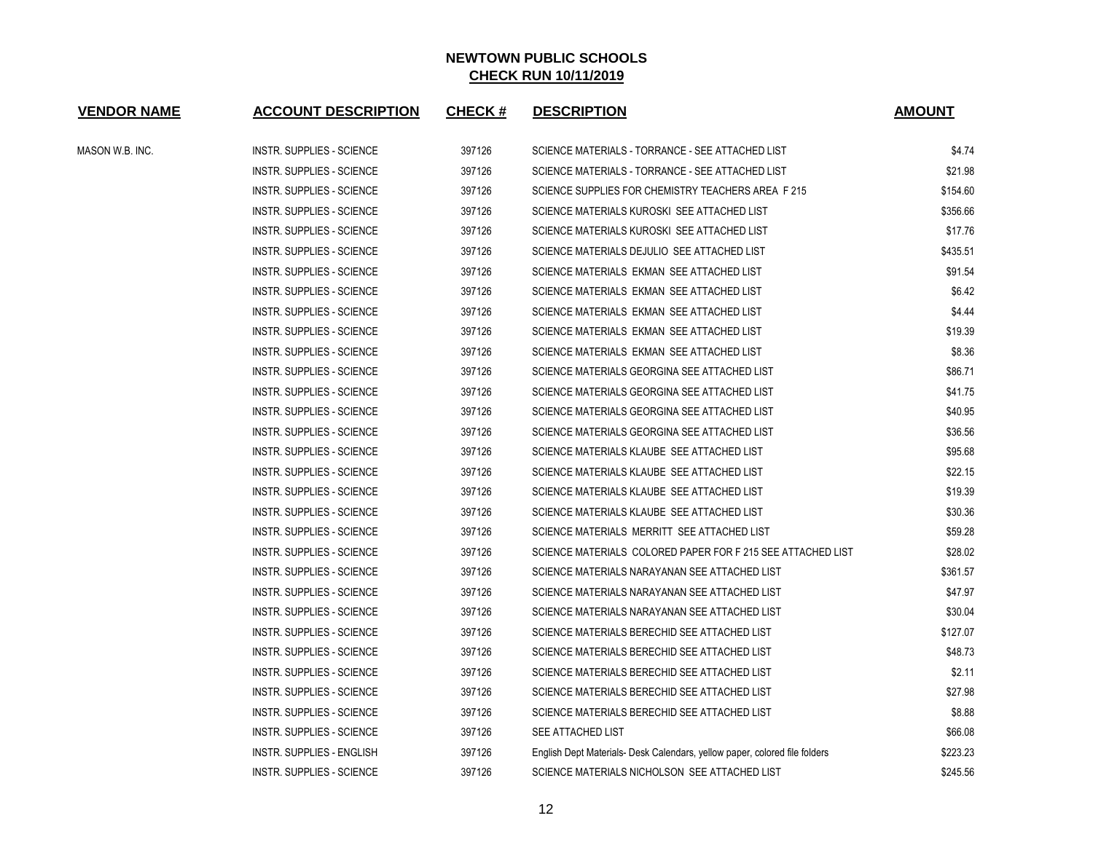| <b>VENDOR NAME</b> | <b>ACCOUNT DESCRIPTION</b>       | <b>CHECK#</b> | <b>DESCRIPTION</b>                                                         | <b>AMOUNT</b> |
|--------------------|----------------------------------|---------------|----------------------------------------------------------------------------|---------------|
| MASON W.B. INC.    | <b>INSTR. SUPPLIES - SCIENCE</b> | 397126        | SCIENCE MATERIALS - TORRANCE - SEE ATTACHED LIST                           | \$4.74        |
|                    | <b>INSTR. SUPPLIES - SCIENCE</b> | 397126        | SCIENCE MATERIALS - TORRANCE - SEE ATTACHED LIST                           | \$21.98       |
|                    | <b>INSTR. SUPPLIES - SCIENCE</b> | 397126        | SCIENCE SUPPLIES FOR CHEMISTRY TEACHERS AREA F 215                         | \$154.60      |
|                    | <b>INSTR. SUPPLIES - SCIENCE</b> | 397126        | SCIENCE MATERIALS KUROSKI SEE ATTACHED LIST                                | \$356.66      |
|                    | <b>INSTR. SUPPLIES - SCIENCE</b> | 397126        | SCIENCE MATERIALS KUROSKI SEE ATTACHED LIST                                | \$17.76       |
|                    | <b>INSTR. SUPPLIES - SCIENCE</b> | 397126        | SCIENCE MATERIALS DEJULIO SEE ATTACHED LIST                                | \$435.51      |
|                    | <b>INSTR. SUPPLIES - SCIENCE</b> | 397126        | SCIENCE MATERIALS EKMAN SEE ATTACHED LIST                                  | \$91.54       |
|                    | <b>INSTR. SUPPLIES - SCIENCE</b> | 397126        | SCIENCE MATERIALS EKMAN SEE ATTACHED LIST                                  | \$6.42        |
|                    | <b>INSTR. SUPPLIES - SCIENCE</b> | 397126        | SCIENCE MATERIALS EKMAN SEE ATTACHED LIST                                  | \$4.44        |
|                    | <b>INSTR. SUPPLIES - SCIENCE</b> | 397126        | SCIENCE MATERIALS EKMAN SEE ATTACHED LIST                                  | \$19.39       |
|                    | <b>INSTR. SUPPLIES - SCIENCE</b> | 397126        | SCIENCE MATERIALS EKMAN SEE ATTACHED LIST                                  | \$8.36        |
|                    | <b>INSTR. SUPPLIES - SCIENCE</b> | 397126        | SCIENCE MATERIALS GEORGINA SEE ATTACHED LIST                               | \$86.71       |
|                    | <b>INSTR. SUPPLIES - SCIENCE</b> | 397126        | SCIENCE MATERIALS GEORGINA SEE ATTACHED LIST                               | \$41.75       |
|                    | <b>INSTR. SUPPLIES - SCIENCE</b> | 397126        | SCIENCE MATERIALS GEORGINA SEE ATTACHED LIST                               | \$40.95       |
|                    | <b>INSTR. SUPPLIES - SCIENCE</b> | 397126        | SCIENCE MATERIALS GEORGINA SEE ATTACHED LIST                               | \$36.56       |
|                    | <b>INSTR. SUPPLIES - SCIENCE</b> | 397126        | SCIENCE MATERIALS KLAUBE SEE ATTACHED LIST                                 | \$95.68       |
|                    | <b>INSTR. SUPPLIES - SCIENCE</b> | 397126        | SCIENCE MATERIALS KLAUBE SEE ATTACHED LIST                                 | \$22.15       |
|                    | <b>INSTR. SUPPLIES - SCIENCE</b> | 397126        | SCIENCE MATERIALS KLAUBE SEE ATTACHED LIST                                 | \$19.39       |
|                    | <b>INSTR. SUPPLIES - SCIENCE</b> | 397126        | SCIENCE MATERIALS KLAUBE SEE ATTACHED LIST                                 | \$30.36       |
|                    | <b>INSTR. SUPPLIES - SCIENCE</b> | 397126        | SCIENCE MATERIALS MERRITT SEE ATTACHED LIST                                | \$59.28       |
|                    | <b>INSTR. SUPPLIES - SCIENCE</b> | 397126        | SCIENCE MATERIALS COLORED PAPER FOR F 215 SEE ATTACHED LIST                | \$28.02       |
|                    | <b>INSTR. SUPPLIES - SCIENCE</b> | 397126        | SCIENCE MATERIALS NARAYANAN SEE ATTACHED LIST                              | \$361.57      |
|                    | <b>INSTR. SUPPLIES - SCIENCE</b> | 397126        | SCIENCE MATERIALS NARAYANAN SEE ATTACHED LIST                              | \$47.97       |
|                    | <b>INSTR. SUPPLIES - SCIENCE</b> | 397126        | SCIENCE MATERIALS NARAYANAN SEE ATTACHED LIST                              | \$30.04       |
|                    | <b>INSTR. SUPPLIES - SCIENCE</b> | 397126        | SCIENCE MATERIALS BERECHID SEE ATTACHED LIST                               | \$127.07      |
|                    | <b>INSTR. SUPPLIES - SCIENCE</b> | 397126        | SCIENCE MATERIALS BERECHID SEE ATTACHED LIST                               | \$48.73       |
|                    | <b>INSTR. SUPPLIES - SCIENCE</b> | 397126        | SCIENCE MATERIALS BERECHID SEE ATTACHED LIST                               | \$2.11        |
|                    | <b>INSTR. SUPPLIES - SCIENCE</b> | 397126        | SCIENCE MATERIALS BERECHID SEE ATTACHED LIST                               | \$27.98       |
|                    | <b>INSTR. SUPPLIES - SCIENCE</b> | 397126        | SCIENCE MATERIALS BERECHID SEE ATTACHED LIST                               | \$8.88        |
|                    | <b>INSTR. SUPPLIES - SCIENCE</b> | 397126        | SEE ATTACHED LIST                                                          | \$66.08       |
|                    | <b>INSTR. SUPPLIES - ENGLISH</b> | 397126        | English Dept Materials- Desk Calendars, yellow paper, colored file folders | \$223.23      |
|                    | <b>INSTR. SUPPLIES - SCIENCE</b> | 397126        | SCIENCE MATERIALS NICHOLSON SEE ATTACHED LIST                              | \$245.56      |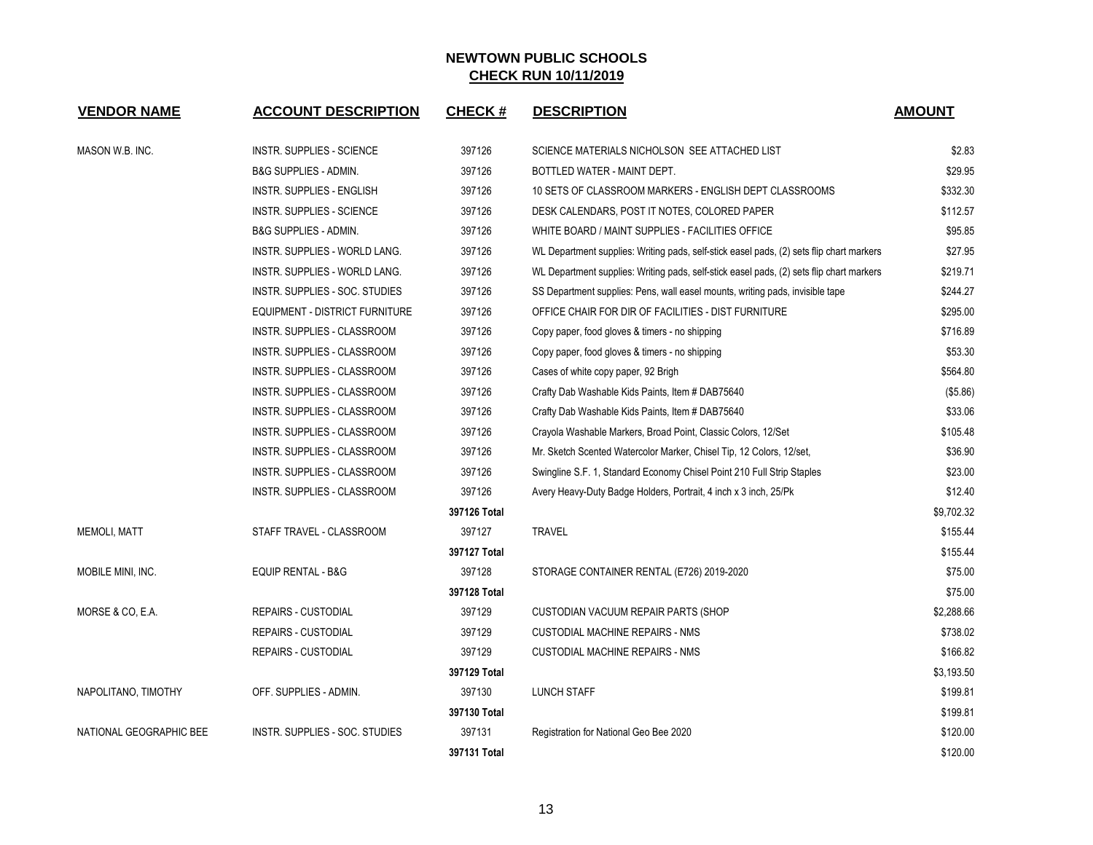| <b>VENDOR NAME</b>      | <b>ACCOUNT DESCRIPTION</b>       | <b>CHECK#</b> | <b>DESCRIPTION</b>                                                                       | <b>AMOUNT</b> |
|-------------------------|----------------------------------|---------------|------------------------------------------------------------------------------------------|---------------|
| MASON W.B. INC.         | <b>INSTR. SUPPLIES - SCIENCE</b> | 397126        | SCIENCE MATERIALS NICHOLSON SEE ATTACHED LIST                                            | \$2.83        |
|                         | <b>B&amp;G SUPPLIES - ADMIN.</b> | 397126        | BOTTLED WATER - MAINT DEPT.                                                              | \$29.95       |
|                         | INSTR. SUPPLIES - ENGLISH        | 397126        | 10 SETS OF CLASSROOM MARKERS - ENGLISH DEPT CLASSROOMS                                   | \$332.30      |
|                         | <b>INSTR. SUPPLIES - SCIENCE</b> | 397126        | DESK CALENDARS, POST IT NOTES, COLORED PAPER                                             | \$112.57      |
|                         | <b>B&amp;G SUPPLIES - ADMIN.</b> | 397126        | WHITE BOARD / MAINT SUPPLIES - FACILITIES OFFICE                                         | \$95.85       |
|                         | INSTR. SUPPLIES - WORLD LANG.    | 397126        | WL Department supplies: Writing pads, self-stick easel pads, (2) sets flip chart markers | \$27.95       |
|                         | INSTR. SUPPLIES - WORLD LANG.    | 397126        | WL Department supplies: Writing pads, self-stick easel pads, (2) sets flip chart markers | \$219.71      |
|                         | INSTR. SUPPLIES - SOC. STUDIES   | 397126        | SS Department supplies: Pens, wall easel mounts, writing pads, invisible tape            | \$244.27      |
|                         | EQUIPMENT - DISTRICT FURNITURE   | 397126        | OFFICE CHAIR FOR DIR OF FACILITIES - DIST FURNITURE                                      | \$295.00      |
|                         | INSTR. SUPPLIES - CLASSROOM      | 397126        | Copy paper, food gloves & timers - no shipping                                           | \$716.89      |
|                         | INSTR. SUPPLIES - CLASSROOM      | 397126        | Copy paper, food gloves & timers - no shipping                                           | \$53.30       |
|                         | INSTR. SUPPLIES - CLASSROOM      | 397126        | Cases of white copy paper, 92 Brigh                                                      | \$564.80      |
|                         | INSTR. SUPPLIES - CLASSROOM      | 397126        | Crafty Dab Washable Kids Paints, Item # DAB75640                                         | (\$5.86)      |
|                         | INSTR. SUPPLIES - CLASSROOM      | 397126        | Crafty Dab Washable Kids Paints, Item # DAB75640                                         | \$33.06       |
|                         | INSTR. SUPPLIES - CLASSROOM      | 397126        | Crayola Washable Markers, Broad Point, Classic Colors, 12/Set                            | \$105.48      |
|                         | INSTR. SUPPLIES - CLASSROOM      | 397126        | Mr. Sketch Scented Watercolor Marker, Chisel Tip, 12 Colors, 12/set,                     | \$36.90       |
|                         | INSTR. SUPPLIES - CLASSROOM      | 397126        | Swingline S.F. 1, Standard Economy Chisel Point 210 Full Strip Staples                   | \$23.00       |
|                         | INSTR. SUPPLIES - CLASSROOM      | 397126        | Avery Heavy-Duty Badge Holders, Portrait, 4 inch x 3 inch, 25/Pk                         | \$12.40       |
|                         |                                  | 397126 Total  |                                                                                          | \$9,702.32    |
| <b>MEMOLI, MATT</b>     | STAFF TRAVEL - CLASSROOM         | 397127        | <b>TRAVEL</b>                                                                            | \$155.44      |
|                         |                                  | 397127 Total  |                                                                                          | \$155.44      |
| MOBILE MINI, INC.       | <b>EQUIP RENTAL - B&amp;G</b>    | 397128        | STORAGE CONTAINER RENTAL (E726) 2019-2020                                                | \$75.00       |
|                         |                                  | 397128 Total  |                                                                                          | \$75.00       |
| MORSE & CO, E.A.        | REPAIRS - CUSTODIAL              | 397129        | CUSTODIAN VACUUM REPAIR PARTS (SHOP                                                      | \$2,288.66    |
|                         | <b>REPAIRS - CUSTODIAL</b>       | 397129        | CUSTODIAL MACHINE REPAIRS - NMS                                                          | \$738.02      |
|                         | <b>REPAIRS - CUSTODIAL</b>       | 397129        | <b>CUSTODIAL MACHINE REPAIRS - NMS</b>                                                   | \$166.82      |
|                         |                                  | 397129 Total  |                                                                                          | \$3,193.50    |
| NAPOLITANO, TIMOTHY     | OFF. SUPPLIES - ADMIN.           | 397130        | LUNCH STAFF                                                                              | \$199.81      |
|                         |                                  | 397130 Total  |                                                                                          | \$199.81      |
| NATIONAL GEOGRAPHIC BEE | INSTR. SUPPLIES - SOC. STUDIES   | 397131        | Registration for National Geo Bee 2020                                                   | \$120.00      |
|                         |                                  | 397131 Total  |                                                                                          | \$120.00      |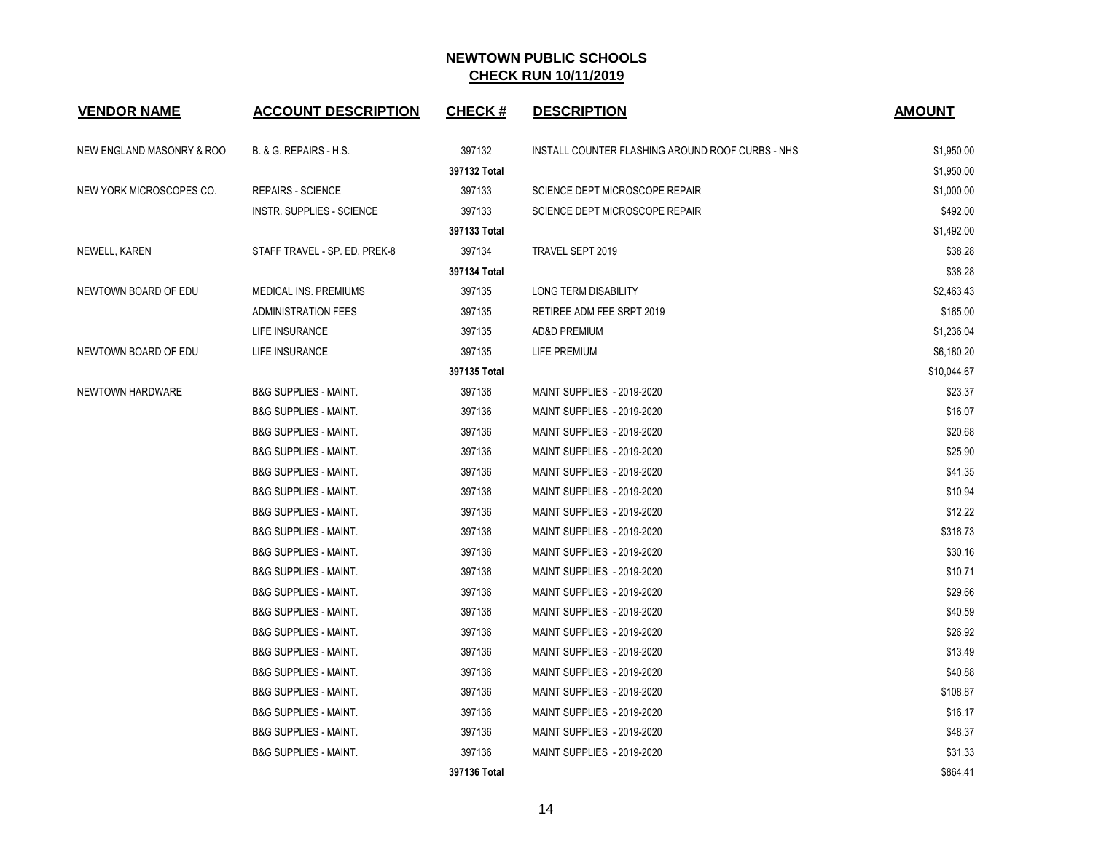| <b>VENDOR NAME</b>        | <b>ACCOUNT DESCRIPTION</b>       | <b>CHECK#</b> | <b>DESCRIPTION</b>                               | <b>AMOUNT</b> |
|---------------------------|----------------------------------|---------------|--------------------------------------------------|---------------|
| NEW ENGLAND MASONRY & ROO | B. & G. REPAIRS - H.S.           | 397132        | INSTALL COUNTER FLASHING AROUND ROOF CURBS - NHS | \$1,950.00    |
|                           |                                  | 397132 Total  |                                                  | \$1,950.00    |
| NEW YORK MICROSCOPES CO.  | <b>REPAIRS - SCIENCE</b>         | 397133        | SCIENCE DEPT MICROSCOPE REPAIR                   | \$1,000.00    |
|                           | <b>INSTR. SUPPLIES - SCIENCE</b> | 397133        | SCIENCE DEPT MICROSCOPE REPAIR                   | \$492.00      |
|                           |                                  | 397133 Total  |                                                  | \$1,492.00    |
| NEWELL, KAREN             | STAFF TRAVEL - SP. ED. PREK-8    | 397134        | TRAVEL SEPT 2019                                 | \$38.28       |
|                           |                                  | 397134 Total  |                                                  | \$38.28       |
| NEWTOWN BOARD OF EDU      | <b>MEDICAL INS. PREMIUMS</b>     | 397135        | LONG TERM DISABILITY                             | \$2,463.43    |
|                           | <b>ADMINISTRATION FEES</b>       | 397135        | RETIREE ADM FEE SRPT 2019                        | \$165.00      |
|                           | LIFE INSURANCE                   | 397135        | AD&D PREMIUM                                     | \$1,236.04    |
| NEWTOWN BOARD OF EDU      | LIFE INSURANCE                   | 397135        | LIFE PREMIUM                                     | \$6,180.20    |
|                           |                                  | 397135 Total  |                                                  | \$10,044.67   |
| NEWTOWN HARDWARE          | <b>B&amp;G SUPPLIES - MAINT.</b> | 397136        | MAINT SUPPLIES - 2019-2020                       | \$23.37       |
|                           | <b>B&amp;G SUPPLIES - MAINT.</b> | 397136        | MAINT SUPPLIES - 2019-2020                       | \$16.07       |
|                           | <b>B&amp;G SUPPLIES - MAINT.</b> | 397136        | <b>MAINT SUPPLIES - 2019-2020</b>                | \$20.68       |
|                           | <b>B&amp;G SUPPLIES - MAINT.</b> | 397136        | MAINT SUPPLIES - 2019-2020                       | \$25.90       |
|                           | <b>B&amp;G SUPPLIES - MAINT.</b> | 397136        | MAINT SUPPLIES - 2019-2020                       | \$41.35       |
|                           | <b>B&amp;G SUPPLIES - MAINT.</b> | 397136        | MAINT SUPPLIES - 2019-2020                       | \$10.94       |
|                           | <b>B&amp;G SUPPLIES - MAINT.</b> | 397136        | MAINT SUPPLIES - 2019-2020                       | \$12.22       |
|                           | <b>B&amp;G SUPPLIES - MAINT.</b> | 397136        | MAINT SUPPLIES - 2019-2020                       | \$316.73      |
|                           | <b>B&amp;G SUPPLIES - MAINT.</b> | 397136        | MAINT SUPPLIES - 2019-2020                       | \$30.16       |
|                           | <b>B&amp;G SUPPLIES - MAINT.</b> | 397136        | MAINT SUPPLIES - 2019-2020                       | \$10.71       |
|                           | <b>B&amp;G SUPPLIES - MAINT.</b> | 397136        | MAINT SUPPLIES - 2019-2020                       | \$29.66       |
|                           | <b>B&amp;G SUPPLIES - MAINT.</b> | 397136        | MAINT SUPPLIES - 2019-2020                       | \$40.59       |
|                           | <b>B&amp;G SUPPLIES - MAINT.</b> | 397136        | MAINT SUPPLIES - 2019-2020                       | \$26.92       |
|                           | <b>B&amp;G SUPPLIES - MAINT.</b> | 397136        | MAINT SUPPLIES - 2019-2020                       | \$13.49       |
|                           | <b>B&amp;G SUPPLIES - MAINT.</b> | 397136        | MAINT SUPPLIES - 2019-2020                       | \$40.88       |
|                           | <b>B&amp;G SUPPLIES - MAINT.</b> | 397136        | MAINT SUPPLIES - 2019-2020                       | \$108.87      |
|                           | <b>B&amp;G SUPPLIES - MAINT.</b> | 397136        | MAINT SUPPLIES - 2019-2020                       | \$16.17       |
|                           | <b>B&amp;G SUPPLIES - MAINT.</b> | 397136        | MAINT SUPPLIES - 2019-2020                       | \$48.37       |
|                           | <b>B&amp;G SUPPLIES - MAINT.</b> | 397136        | <b>MAINT SUPPLIES - 2019-2020</b>                | \$31.33       |
|                           |                                  | 397136 Total  |                                                  | \$864.41      |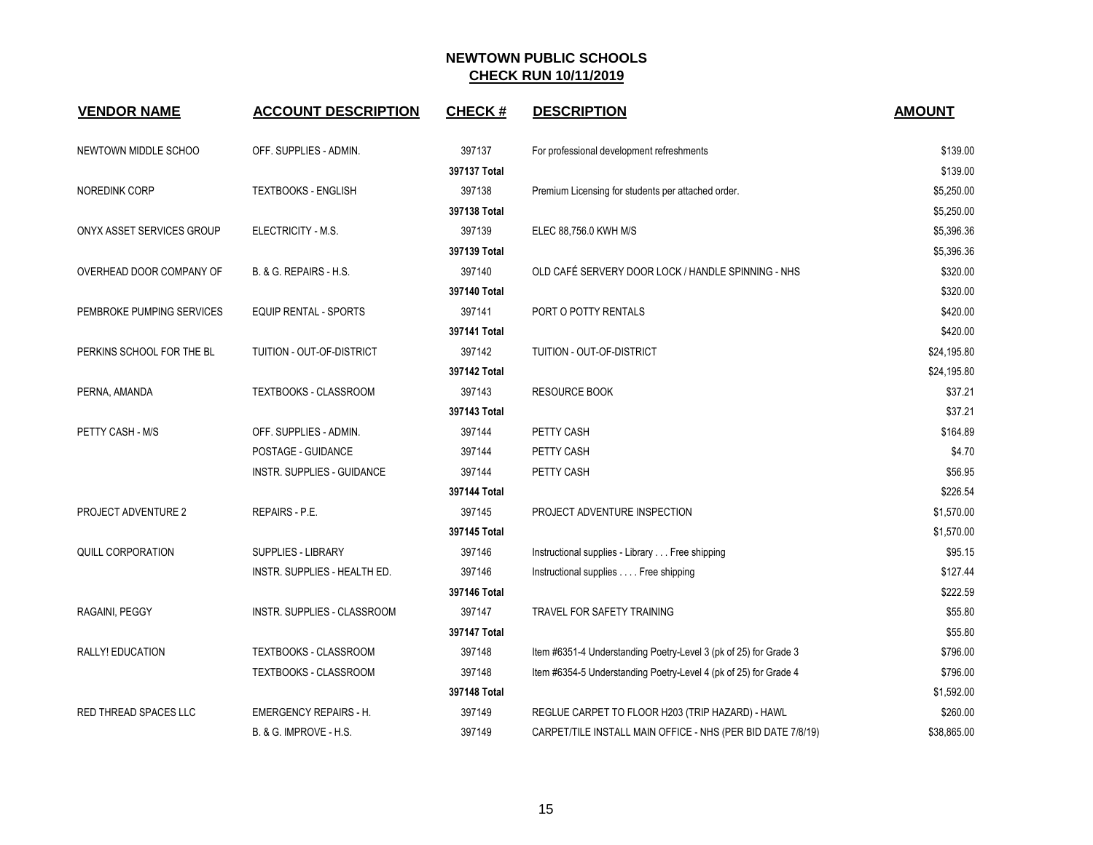| <b>VENDOR NAME</b>           | <b>ACCOUNT DESCRIPTION</b>        | <b>CHECK#</b> | <b>DESCRIPTION</b>                                               | <b>AMOUNT</b> |
|------------------------------|-----------------------------------|---------------|------------------------------------------------------------------|---------------|
| NEWTOWN MIDDLE SCHOO         | OFF. SUPPLIES - ADMIN.            | 397137        | For professional development refreshments                        | \$139.00      |
|                              |                                   | 397137 Total  |                                                                  | \$139.00      |
| <b>NOREDINK CORP</b>         | <b>TEXTBOOKS - ENGLISH</b>        | 397138        | Premium Licensing for students per attached order.               | \$5,250.00    |
|                              |                                   | 397138 Total  |                                                                  | \$5,250.00    |
| ONYX ASSET SERVICES GROUP    | ELECTRICITY - M.S.                | 397139        | ELEC 88,756.0 KWH M/S                                            | \$5,396.36    |
|                              |                                   | 397139 Total  |                                                                  | \$5,396.36    |
| OVERHEAD DOOR COMPANY OF     | B. & G. REPAIRS - H.S.            | 397140        | OLD CAFÉ SERVERY DOOR LOCK / HANDLE SPINNING - NHS               | \$320.00      |
|                              |                                   | 397140 Total  |                                                                  | \$320.00      |
| PEMBROKE PUMPING SERVICES    | <b>EQUIP RENTAL - SPORTS</b>      | 397141        | PORT O POTTY RENTALS                                             | \$420.00      |
|                              |                                   | 397141 Total  |                                                                  | \$420.00      |
| PERKINS SCHOOL FOR THE BL    | TUITION - OUT-OF-DISTRICT         | 397142        | TUITION - OUT-OF-DISTRICT                                        | \$24,195.80   |
|                              |                                   | 397142 Total  |                                                                  | \$24,195.80   |
| PERNA, AMANDA                | <b>TEXTBOOKS - CLASSROOM</b>      | 397143        | <b>RESOURCE BOOK</b>                                             | \$37.21       |
|                              |                                   | 397143 Total  |                                                                  | \$37.21       |
| PETTY CASH - M/S             | OFF. SUPPLIES - ADMIN.            | 397144        | PETTY CASH                                                       | \$164.89      |
|                              | POSTAGE - GUIDANCE                | 397144        | PETTY CASH                                                       | \$4.70        |
|                              | INSTR. SUPPLIES - GUIDANCE        | 397144        | PETTY CASH                                                       | \$56.95       |
|                              |                                   | 397144 Total  |                                                                  | \$226.54      |
| PROJECT ADVENTURE 2          | REPAIRS - P.E.                    | 397145        | PROJECT ADVENTURE INSPECTION                                     | \$1,570.00    |
|                              |                                   | 397145 Total  |                                                                  | \$1,570.00    |
| QUILL CORPORATION            | <b>SUPPLIES - LIBRARY</b>         | 397146        | Instructional supplies - Library Free shipping                   | \$95.15       |
|                              | INSTR. SUPPLIES - HEALTH ED.      | 397146        | Instructional supplies Free shipping                             | \$127.44      |
|                              |                                   | 397146 Total  |                                                                  | \$222.59      |
| RAGAINI, PEGGY               | INSTR. SUPPLIES - CLASSROOM       | 397147        | <b>TRAVEL FOR SAFETY TRAINING</b>                                | \$55.80       |
|                              |                                   | 397147 Total  |                                                                  | \$55.80       |
| RALLY! EDUCATION             | TEXTBOOKS - CLASSROOM             | 397148        | Item #6351-4 Understanding Poetry-Level 3 (pk of 25) for Grade 3 | \$796.00      |
|                              | <b>TEXTBOOKS - CLASSROOM</b>      | 397148        | Item #6354-5 Understanding Poetry-Level 4 (pk of 25) for Grade 4 | \$796.00      |
|                              |                                   | 397148 Total  |                                                                  | \$1,592.00    |
| <b>RED THREAD SPACES LLC</b> | <b>EMERGENCY REPAIRS - H.</b>     | 397149        | REGLUE CARPET TO FLOOR H203 (TRIP HAZARD) - HAWL                 | \$260.00      |
|                              | <b>B. &amp; G. IMPROVE - H.S.</b> | 397149        | CARPET/TILE INSTALL MAIN OFFICE - NHS (PER BID DATE 7/8/19)      | \$38,865.00   |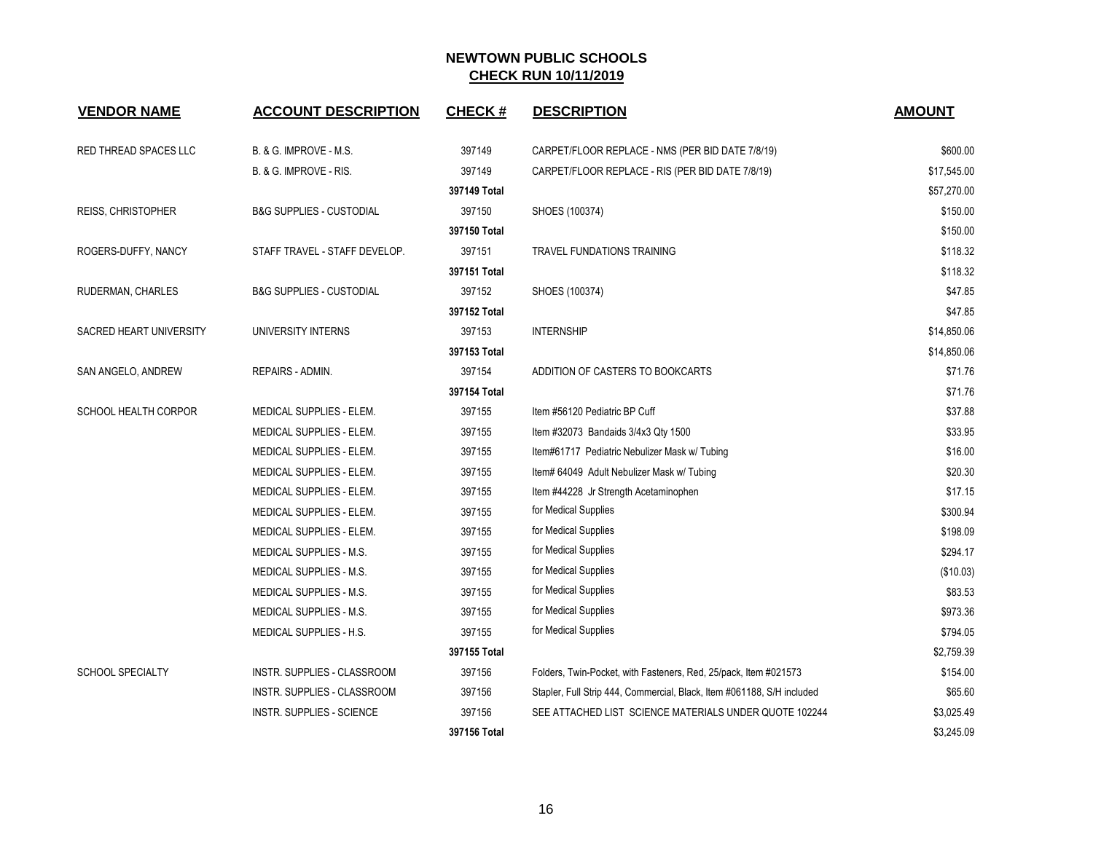| <b>VENDOR NAME</b>      | <b>ACCOUNT DESCRIPTION</b>          | <b>CHECK#</b> | <b>DESCRIPTION</b>                                                     | <b>AMOUNT</b> |
|-------------------------|-------------------------------------|---------------|------------------------------------------------------------------------|---------------|
| RED THREAD SPACES LLC   | B. & G. IMPROVE - M.S.              | 397149        | CARPET/FLOOR REPLACE - NMS (PER BID DATE 7/8/19)                       | \$600.00      |
|                         | B. & G. IMPROVE - RIS.              | 397149        | CARPET/FLOOR REPLACE - RIS (PER BID DATE 7/8/19)                       | \$17,545.00   |
|                         |                                     | 397149 Total  |                                                                        | \$57,270.00   |
| REISS, CHRISTOPHER      | <b>B&amp;G SUPPLIES - CUSTODIAL</b> | 397150        | SHOES (100374)                                                         | \$150.00      |
|                         |                                     | 397150 Total  |                                                                        | \$150.00      |
| ROGERS-DUFFY, NANCY     | STAFF TRAVEL - STAFF DEVELOP.       | 397151        | <b>TRAVEL FUNDATIONS TRAINING</b>                                      | \$118.32      |
|                         |                                     | 397151 Total  |                                                                        | \$118.32      |
| RUDERMAN, CHARLES       | B&G SUPPLIES - CUSTODIAL            | 397152        | SHOES (100374)                                                         | \$47.85       |
|                         |                                     | 397152 Total  |                                                                        | \$47.85       |
| SACRED HEART UNIVERSITY | UNIVERSITY INTERNS                  | 397153        | <b>INTERNSHIP</b>                                                      | \$14,850.06   |
|                         |                                     | 397153 Total  |                                                                        | \$14,850.06   |
| SAN ANGELO, ANDREW      | REPAIRS - ADMIN.                    | 397154        | ADDITION OF CASTERS TO BOOKCARTS                                       | \$71.76       |
|                         |                                     | 397154 Total  |                                                                        | \$71.76       |
| SCHOOL HEALTH CORPOR    | MEDICAL SUPPLIES - ELEM.            | 397155        | Item #56120 Pediatric BP Cuff                                          | \$37.88       |
|                         | MEDICAL SUPPLIES - ELEM.            | 397155        | Item #32073 Bandaids 3/4x3 Qty 1500                                    | \$33.95       |
|                         | MEDICAL SUPPLIES - ELEM.            | 397155        | Item#61717 Pediatric Nebulizer Mask w/ Tubing                          | \$16.00       |
|                         | MEDICAL SUPPLIES - ELEM.            | 397155        | Item# 64049 Adult Nebulizer Mask w/ Tubing                             | \$20.30       |
|                         | MEDICAL SUPPLIES - ELEM.            | 397155        | Item #44228 Jr Strength Acetaminophen                                  | \$17.15       |
|                         | MEDICAL SUPPLIES - ELEM.            | 397155        | for Medical Supplies                                                   | \$300.94      |
|                         | MEDICAL SUPPLIES - ELEM.            | 397155        | for Medical Supplies                                                   | \$198.09      |
|                         | MEDICAL SUPPLIES - M.S.             | 397155        | for Medical Supplies                                                   | \$294.17      |
|                         | MEDICAL SUPPLIES - M.S.             | 397155        | for Medical Supplies                                                   | (\$10.03)     |
|                         | MEDICAL SUPPLIES - M.S.             | 397155        | for Medical Supplies                                                   | \$83.53       |
|                         | MEDICAL SUPPLIES - M.S.             | 397155        | for Medical Supplies                                                   | \$973.36      |
|                         | MEDICAL SUPPLIES - H.S.             | 397155        | for Medical Supplies                                                   | \$794.05      |
|                         |                                     | 397155 Total  |                                                                        | \$2,759.39    |
| <b>SCHOOL SPECIALTY</b> | INSTR. SUPPLIES - CLASSROOM         | 397156        | Folders, Twin-Pocket, with Fasteners, Red, 25/pack, Item #021573       | \$154.00      |
|                         | INSTR. SUPPLIES - CLASSROOM         | 397156        | Stapler, Full Strip 444, Commercial, Black, Item #061188, S/H included | \$65.60       |
|                         | <b>INSTR. SUPPLIES - SCIENCE</b>    | 397156        | SEE ATTACHED LIST SCIENCE MATERIALS UNDER QUOTE 102244                 | \$3,025.49    |
|                         |                                     | 397156 Total  |                                                                        | \$3,245.09    |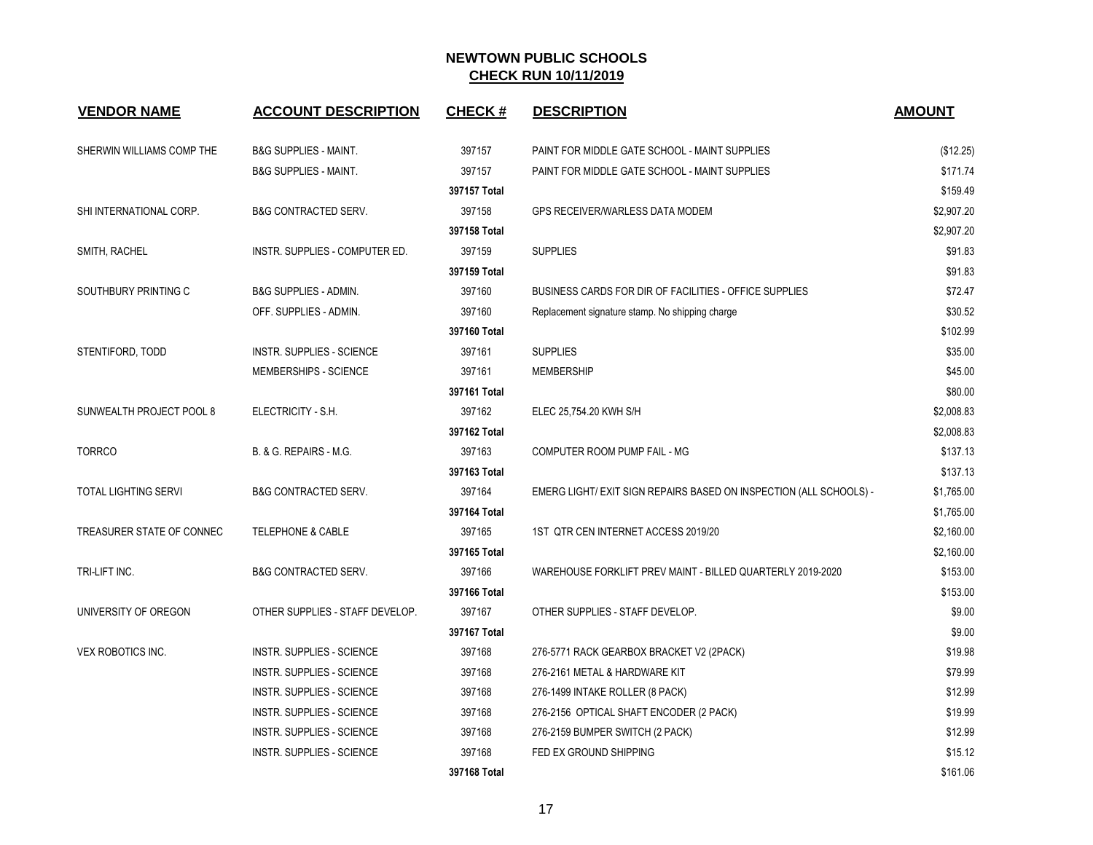| <b>VENDOR NAME</b>          | <b>ACCOUNT DESCRIPTION</b>       | <b>CHECK#</b> | <b>DESCRIPTION</b>                                                 | <b>AMOUNT</b> |
|-----------------------------|----------------------------------|---------------|--------------------------------------------------------------------|---------------|
| SHERWIN WILLIAMS COMP THE   | <b>B&amp;G SUPPLIES - MAINT.</b> | 397157        | PAINT FOR MIDDLE GATE SCHOOL - MAINT SUPPLIES                      | (\$12.25)     |
|                             | <b>B&amp;G SUPPLIES - MAINT.</b> | 397157        | PAINT FOR MIDDLE GATE SCHOOL - MAINT SUPPLIES                      | \$171.74      |
|                             |                                  | 397157 Total  |                                                                    | \$159.49      |
| SHI INTERNATIONAL CORP.     | <b>B&amp;G CONTRACTED SERV.</b>  | 397158        | GPS RECEIVER/WARLESS DATA MODEM                                    | \$2,907.20    |
|                             |                                  | 397158 Total  |                                                                    | \$2,907.20    |
| SMITH, RACHEL               | INSTR. SUPPLIES - COMPUTER ED.   | 397159        | <b>SUPPLIES</b>                                                    | \$91.83       |
|                             |                                  | 397159 Total  |                                                                    | \$91.83       |
| SOUTHBURY PRINTING C        | <b>B&amp;G SUPPLIES - ADMIN.</b> | 397160        | BUSINESS CARDS FOR DIR OF FACILITIES - OFFICE SUPPLIES             | \$72.47       |
|                             | OFF. SUPPLIES - ADMIN.           | 397160        | Replacement signature stamp. No shipping charge                    | \$30.52       |
|                             |                                  | 397160 Total  |                                                                    | \$102.99      |
| STENTIFORD, TODD            | <b>INSTR. SUPPLIES - SCIENCE</b> | 397161        | <b>SUPPLIES</b>                                                    | \$35.00       |
|                             | MEMBERSHIPS - SCIENCE            | 397161        | <b>MEMBERSHIP</b>                                                  | \$45.00       |
|                             |                                  | 397161 Total  |                                                                    | \$80.00       |
| SUNWEALTH PROJECT POOL 8    | ELECTRICITY - S.H.               | 397162        | ELEC 25,754.20 KWH S/H                                             | \$2,008.83    |
|                             |                                  | 397162 Total  |                                                                    | \$2,008.83    |
| <b>TORRCO</b>               | B. & G. REPAIRS - M.G.           | 397163        | COMPUTER ROOM PUMP FAIL - MG                                       | \$137.13      |
|                             |                                  | 397163 Total  |                                                                    | \$137.13      |
| <b>TOTAL LIGHTING SERVI</b> | <b>B&amp;G CONTRACTED SERV.</b>  | 397164        | EMERG LIGHT/ EXIT SIGN REPAIRS BASED ON INSPECTION (ALL SCHOOLS) - | \$1,765.00    |
|                             |                                  | 397164 Total  |                                                                    | \$1,765.00    |
| TREASURER STATE OF CONNEC   | <b>TELEPHONE &amp; CABLE</b>     | 397165        | 1ST QTR CEN INTERNET ACCESS 2019/20                                | \$2,160.00    |
|                             |                                  | 397165 Total  |                                                                    | \$2,160.00    |
| TRI-LIFT INC.               | <b>B&amp;G CONTRACTED SERV.</b>  | 397166        | WAREHOUSE FORKLIFT PREV MAINT - BILLED QUARTERLY 2019-2020         | \$153.00      |
|                             |                                  | 397166 Total  |                                                                    | \$153.00      |
| UNIVERSITY OF OREGON        | OTHER SUPPLIES - STAFF DEVELOP.  | 397167        | OTHER SUPPLIES - STAFF DEVELOP.                                    | \$9.00        |
|                             |                                  | 397167 Total  |                                                                    | \$9.00        |
| VEX ROBOTICS INC.           | INSTR. SUPPLIES - SCIENCE        | 397168        | 276-5771 RACK GEARBOX BRACKET V2 (2PACK)                           | \$19.98       |
|                             | <b>INSTR. SUPPLIES - SCIENCE</b> | 397168        | 276-2161 METAL & HARDWARE KIT                                      | \$79.99       |
|                             | <b>INSTR. SUPPLIES - SCIENCE</b> | 397168        | 276-1499 INTAKE ROLLER (8 PACK)                                    | \$12.99       |
|                             | <b>INSTR. SUPPLIES - SCIENCE</b> | 397168        | 276-2156 OPTICAL SHAFT ENCODER (2 PACK)                            | \$19.99       |
|                             | INSTR. SUPPLIES - SCIENCE        | 397168        | 276-2159 BUMPER SWITCH (2 PACK)                                    | \$12.99       |
|                             | <b>INSTR. SUPPLIES - SCIENCE</b> | 397168        | FED EX GROUND SHIPPING                                             | \$15.12       |
|                             |                                  | 397168 Total  |                                                                    | \$161.06      |